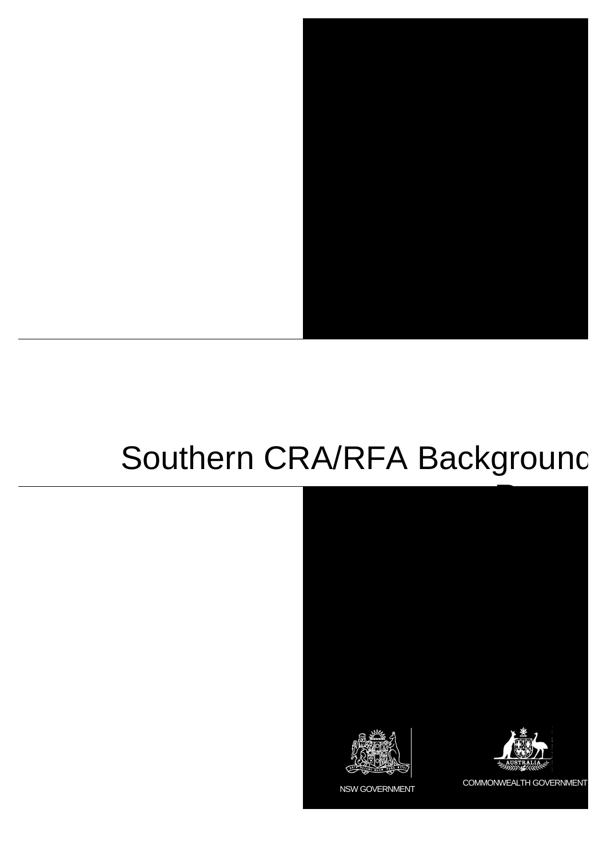

# Southern CRA/RFA Background

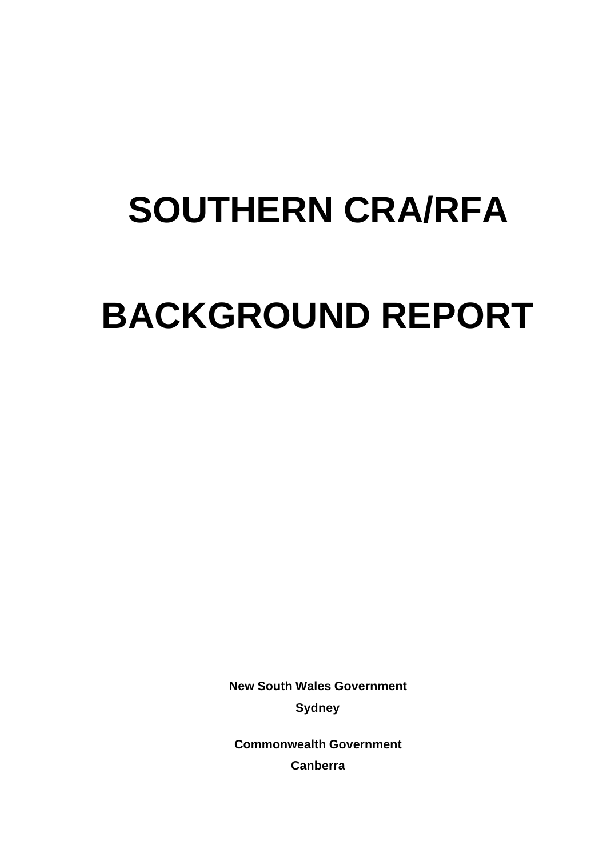# **SOUTHERN CRA/RFA BACKGROUND REPORT**

**New South Wales Government Sydney**

**Commonwealth Government Canberra**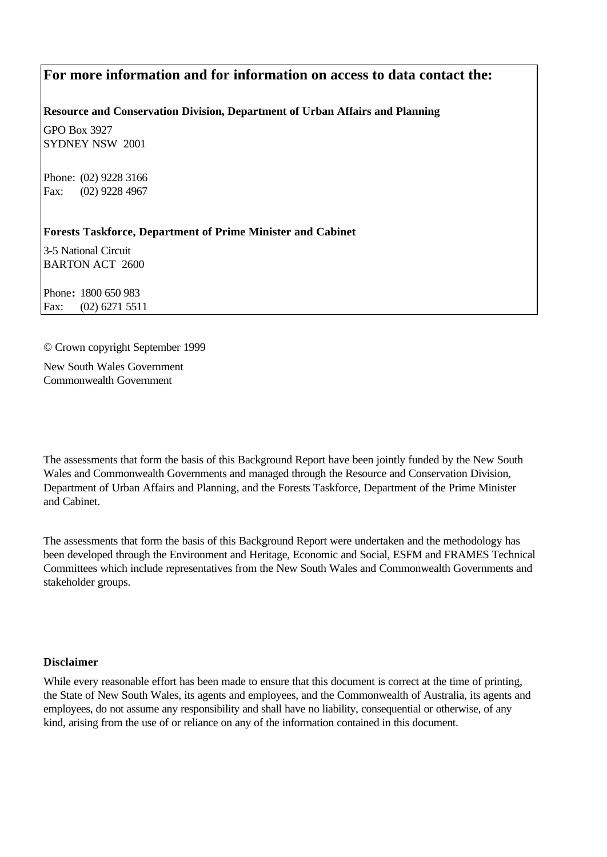# **For more information and for information on access to data contact the:**

#### **Resource and Conservation Division, Department of Urban Affairs and Planning**

GPO Box 3927 SYDNEY NSW 2001

Phone: (02) 9228 3166 Fax: (02) 9228 4967

#### **Forests Taskforce, Department of Prime Minister and Cabinet**

3-5 National Circuit BARTON ACT 2600

Phone**:** 1800 650 983 Fax: (02) 6271 5511

#### © Crown copyright September 1999

New South Wales Government Commonwealth Government

The assessments that form the basis of this Background Report have been jointly funded by the New South Wales and Commonwealth Governments and managed through the Resource and Conservation Division, Department of Urban Affairs and Planning, and the Forests Taskforce, Department of the Prime Minister and Cabinet.

The assessments that form the basis of this Background Report were undertaken and the methodology has been developed through the Environment and Heritage, Economic and Social, ESFM and FRAMES Technical Committees which include representatives from the New South Wales and Commonwealth Governments and stakeholder groups.

#### **Disclaimer**

While every reasonable effort has been made to ensure that this document is correct at the time of printing, the State of New South Wales, its agents and employees, and the Commonwealth of Australia, its agents and employees, do not assume any responsibility and shall have no liability, consequential or otherwise, of any kind, arising from the use of or reliance on any of the information contained in this document.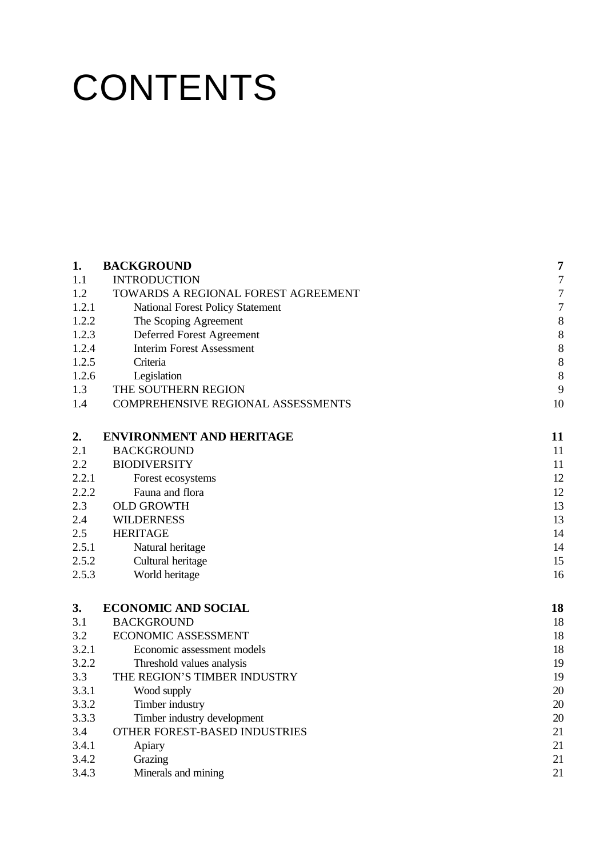# **CONTENTS**

| 1.    | <b>BACKGROUND</b>                       | $\overline{7}$ |
|-------|-----------------------------------------|----------------|
| 1.1   | <b>INTRODUCTION</b>                     | $\overline{7}$ |
| 1.2   | TOWARDS A REGIONAL FOREST AGREEMENT     | $\overline{7}$ |
| 1.2.1 | <b>National Forest Policy Statement</b> | $\overline{7}$ |
| 1.2.2 | The Scoping Agreement                   | 8              |
| 1.2.3 | Deferred Forest Agreement               | 8              |
| 1.2.4 | <b>Interim Forest Assessment</b>        | 8              |
| 1.2.5 | Criteria                                | 8              |
| 1.2.6 | Legislation                             | 8              |
| 1.3   | THE SOUTHERN REGION                     | 9              |
| 1.4   | COMPREHENSIVE REGIONAL ASSESSMENTS      | 10             |
| 2.    | <b>ENVIRONMENT AND HERITAGE</b>         | 11             |
| 2.1   | <b>BACKGROUND</b>                       | 11             |
| 2.2   | <b>BIODIVERSITY</b>                     | 11             |
| 2.2.1 | Forest ecosystems                       | 12             |
| 2.2.2 | Fauna and flora                         | 12             |
| 2.3   | <b>OLD GROWTH</b>                       | 13             |
| 2.4   | <b>WILDERNESS</b>                       | 13             |
| 2.5   | <b>HERITAGE</b>                         | 14             |
| 2.5.1 | Natural heritage                        | 14             |
| 2.5.2 | Cultural heritage                       | 15             |
| 2.5.3 | World heritage                          | 16             |
| 3.    | <b>ECONOMIC AND SOCIAL</b>              | 18             |
| 3.1   | <b>BACKGROUND</b>                       | 18             |
| 3.2   | <b>ECONOMIC ASSESSMENT</b>              | 18             |
| 3.2.1 | Economic assessment models              | 18             |
| 3.2.2 | Threshold values analysis               | 19             |
| 3.3   | THE REGION'S TIMBER INDUSTRY            | 19             |
| 3.3.1 | Wood supply                             | 20             |
| 3.3.2 | Timber industry                         | 20             |
| 3.3.3 | Timber industry development             | 20             |
| 3.4   | OTHER FOREST-BASED INDUSTRIES           | 21             |
| 3.4.1 | Apiary                                  | 21             |
| 3.4.2 | Grazing                                 | 21             |
| 3.4.3 | Minerals and mining                     | 21             |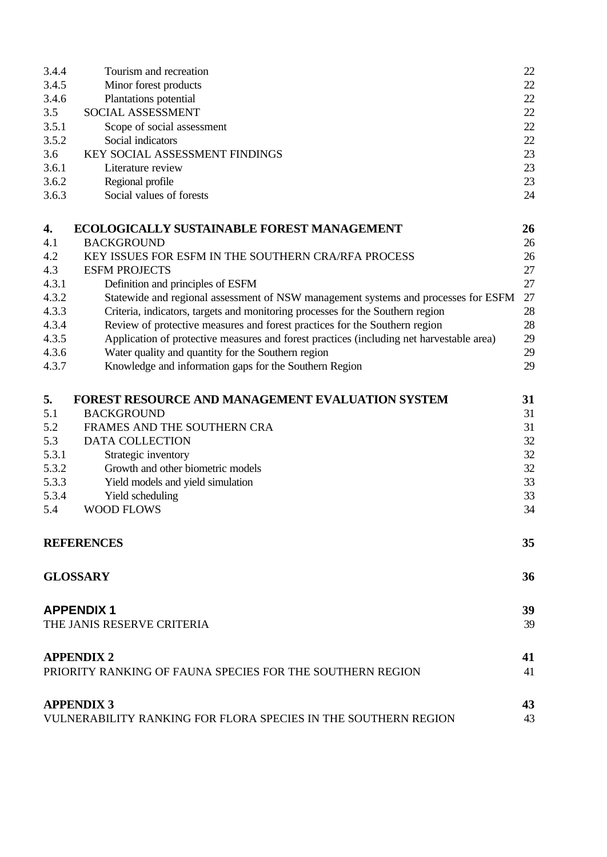| 3.4.4 | Tourism and recreation                                                                   | 22     |
|-------|------------------------------------------------------------------------------------------|--------|
| 3.4.5 | Minor forest products                                                                    | 22     |
| 3.4.6 | Plantations potential                                                                    | 22     |
| 3.5   | SOCIAL ASSESSMENT                                                                        | 22     |
| 3.5.1 | Scope of social assessment                                                               | $22\,$ |
| 3.5.2 | Social indicators                                                                        | 22     |
| 3.6   | KEY SOCIAL ASSESSMENT FINDINGS                                                           | 23     |
| 3.6.1 | Literature review                                                                        | 23     |
| 3.6.2 | Regional profile                                                                         | 23     |
| 3.6.3 | Social values of forests                                                                 | 24     |
| 4.    | ECOLOGICALLY SUSTAINABLE FOREST MANAGEMENT                                               | 26     |
| 4.1   | <b>BACKGROUND</b>                                                                        | 26     |
| 4.2   | KEY ISSUES FOR ESFM IN THE SOUTHERN CRA/RFA PROCESS                                      | 26     |
| 4.3   | <b>ESFM PROJECTS</b>                                                                     | 27     |
| 4.3.1 | Definition and principles of ESFM                                                        | 27     |
| 4.3.2 | Statewide and regional assessment of NSW management systems and processes for ESFM       | 27     |
| 4.3.3 | Criteria, indicators, targets and monitoring processes for the Southern region           | 28     |
| 4.3.4 | Review of protective measures and forest practices for the Southern region               | 28     |
| 4.3.5 | Application of protective measures and forest practices (including net harvestable area) | 29     |
| 4.3.6 | Water quality and quantity for the Southern region                                       | 29     |
| 4.3.7 | Knowledge and information gaps for the Southern Region                                   | 29     |
| 5.    | <b>FOREST RESOURCE AND MANAGEMENT EVALUATION SYSTEM</b>                                  | 31     |
| 5.1   | <b>BACKGROUND</b>                                                                        | 31     |
| 5.2   | FRAMES AND THE SOUTHERN CRA                                                              | 31     |
| 5.3   | DATA COLLECTION                                                                          | 32     |
| 5.3.1 | Strategic inventory                                                                      | 32     |
| 5.3.2 | Growth and other biometric models                                                        | 32     |
| 5.3.3 | Yield models and yield simulation                                                        | 33     |
| 5.3.4 | Yield scheduling                                                                         | 33     |
| 5.4   | <b>WOOD FLOWS</b>                                                                        | 34     |
|       | <b>REFERENCES</b>                                                                        | 35     |
|       | <b>GLOSSARY</b>                                                                          | 36     |
|       | <b>APPENDIX1</b>                                                                         | 39     |
|       | THE JANIS RESERVE CRITERIA                                                               | 39     |
|       | <b>APPENDIX 2</b>                                                                        | 41     |
|       | PRIORITY RANKING OF FAUNA SPECIES FOR THE SOUTHERN REGION                                | 41     |
|       | <b>APPENDIX 3</b>                                                                        | 43     |
|       | VULNERABILITY RANKING FOR FLORA SPECIES IN THE SOUTHERN REGION                           | 43     |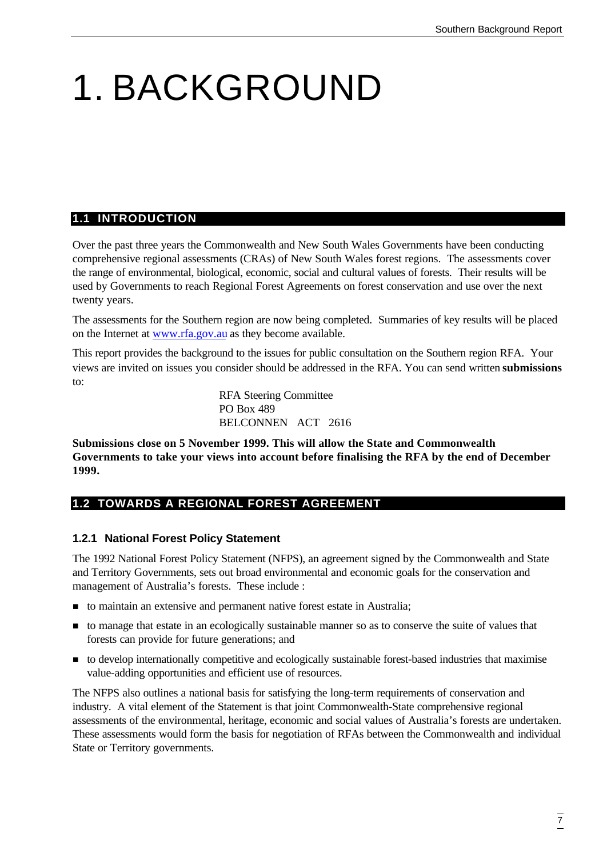# 1. BACKGROUND

### **1.1 INTRODUCTION**

Over the past three years the Commonwealth and New South Wales Governments have been conducting comprehensive regional assessments (CRAs) of New South Wales forest regions. The assessments cover the range of environmental, biological, economic, social and cultural values of forests. Their results will be used by Governments to reach Regional Forest Agreements on forest conservation and use over the next twenty years.

The assessments for the Southern region are now being completed. Summaries of key results will be placed on the Internet at www.rfa.gov.au as they become available.

This report provides the background to the issues for public consultation on the Southern region RFA. Your views are invited on issues you consider should be addressed in the RFA. You can send written **submissions** to:

> RFA Steering Committee PO Box 489 BELCONNEN ACT 2616

**Submissions close on 5 November 1999. This will allow the State and Commonwealth Governments to take your views into account before finalising the RFA by the end of December 1999.**

# **1.2 TOWARDS A REGIONAL FOREST AGREEMENT**

#### **1.2.1 National Forest Policy Statement**

The 1992 National Forest Policy Statement (NFPS), an agreement signed by the Commonwealth and State and Territory Governments, sets out broad environmental and economic goals for the conservation and management of Australia's forests. These include :

- n to maintain an extensive and permanent native forest estate in Australia;
- n to manage that estate in an ecologically sustainable manner so as to conserve the suite of values that forests can provide for future generations; and
- n to develop internationally competitive and ecologically sustainable forest-based industries that maximise value-adding opportunities and efficient use of resources.

The NFPS also outlines a national basis for satisfying the long-term requirements of conservation and industry. A vital element of the Statement is that joint Commonwealth-State comprehensive regional assessments of the environmental, heritage, economic and social values of Australia's forests are undertaken. These assessments would form the basis for negotiation of RFAs between the Commonwealth and individual State or Territory governments.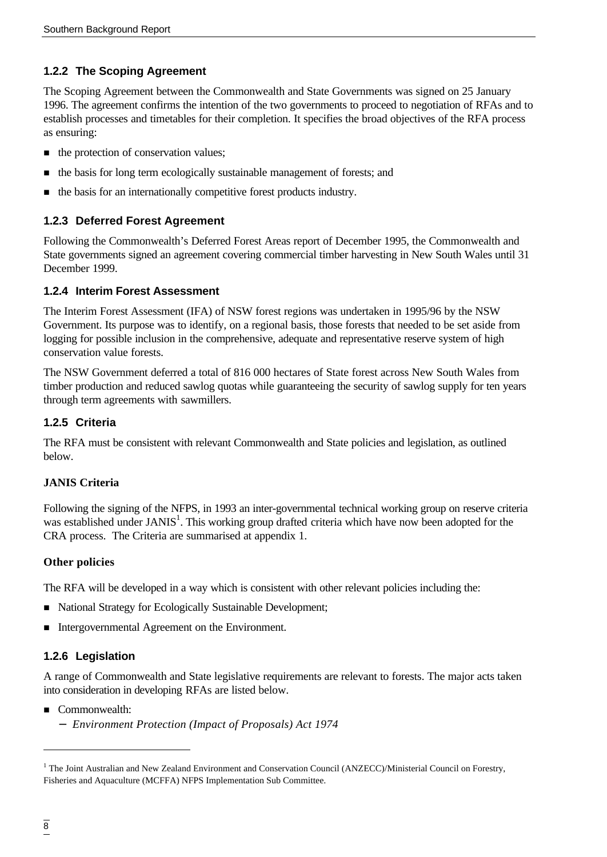### **1.2.2 The Scoping Agreement**

The Scoping Agreement between the Commonwealth and State Governments was signed on 25 January 1996. The agreement confirms the intention of the two governments to proceed to negotiation of RFAs and to establish processes and timetables for their completion. It specifies the broad objectives of the RFA process as ensuring:

- $\blacksquare$  the protection of conservation values;
- n the basis for long term ecologically sustainable management of forests; and
- n the basis for an internationally competitive forest products industry.

#### **1.2.3 Deferred Forest Agreement**

Following the Commonwealth's Deferred Forest Areas report of December 1995, the Commonwealth and State governments signed an agreement covering commercial timber harvesting in New South Wales until 31 December 1999.

#### **1.2.4 Interim Forest Assessment**

The Interim Forest Assessment (IFA) of NSW forest regions was undertaken in 1995/96 by the NSW Government. Its purpose was to identify, on a regional basis, those forests that needed to be set aside from logging for possible inclusion in the comprehensive, adequate and representative reserve system of high conservation value forests.

The NSW Government deferred a total of 816 000 hectares of State forest across New South Wales from timber production and reduced sawlog quotas while guaranteeing the security of sawlog supply for ten years through term agreements with sawmillers.

#### **1.2.5 Criteria**

The RFA must be consistent with relevant Commonwealth and State policies and legislation, as outlined below.

#### **JANIS Criteria**

Following the signing of the NFPS, in 1993 an inter-governmental technical working group on reserve criteria was established under JANIS<sup>1</sup>. This working group drafted criteria which have now been adopted for the CRA process. The Criteria are summarised at appendix 1.

#### **Other policies**

The RFA will be developed in a way which is consistent with other relevant policies including the:

- National Strategy for Ecologically Sustainable Development;
- Intergovernmental Agreement on the Environment.

#### **1.2.6 Legislation**

A range of Commonwealth and State legislative requirements are relevant to forests. The major acts taken into consideration in developing RFAs are listed below.

- Commonwealth:
	- − *Environment Protection (Impact of Proposals) Act 1974*

l

<sup>&</sup>lt;sup>1</sup> The Joint Australian and New Zealand Environment and Conservation Council (ANZECC)/Ministerial Council on Forestry, Fisheries and Aquaculture (MCFFA) NFPS Implementation Sub Committee.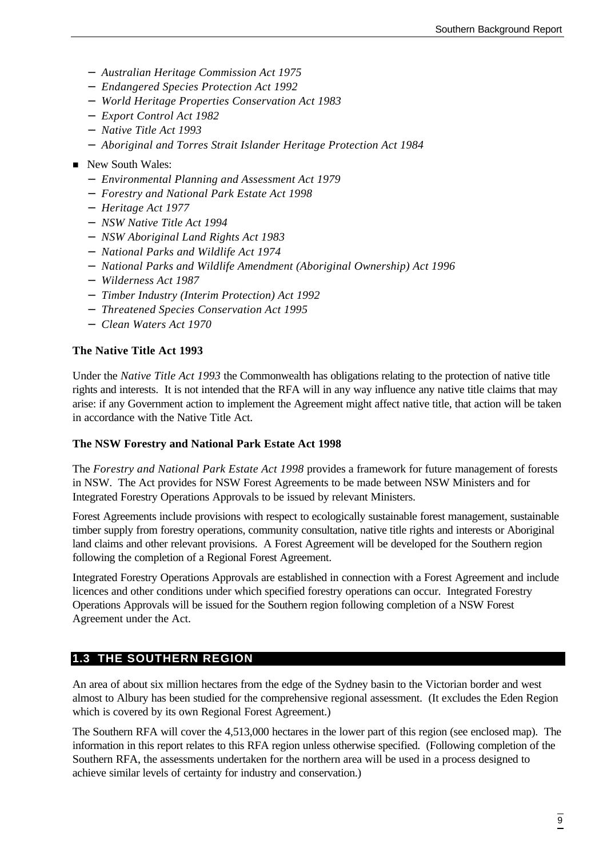- − *Australian Heritage Commission Act 1975*
- − *Endangered Species Protection Act 1992*
- − *World Heritage Properties Conservation Act 1983*
- − *Export Control Act 1982*
- − *Native Title Act 1993*
- − *Aboriginal and Torres Strait Islander Heritage Protection Act 1984*
- New South Wales:
	- − *Environmental Planning and Assessment Act 1979*
	- − *Forestry and National Park Estate Act 1998*
	- − *Heritage Act 1977*
	- − *NSW Native Title Act 1994*
	- − *NSW Aboriginal Land Rights Act 1983*
	- − *National Parks and Wildlife Act 1974*
	- − *National Parks and Wildlife Amendment (Aboriginal Ownership) Act 1996*
	- − *Wilderness Act 1987*
	- − *Timber Industry (Interim Protection) Act 1992*
	- − *Threatened Species Conservation Act 1995*
	- − *Clean Waters Act 1970*

#### **The Native Title Act 1993**

Under the *Native Title Act 1993* the Commonwealth has obligations relating to the protection of native title rights and interests. It is not intended that the RFA will in any way influence any native title claims that may arise: if any Government action to implement the Agreement might affect native title, that action will be taken in accordance with the Native Title Act.

#### **The NSW Forestry and National Park Estate Act 1998**

The *Forestry and National Park Estate Act 1998* provides a framework for future management of forests in NSW. The Act provides for NSW Forest Agreements to be made between NSW Ministers and for Integrated Forestry Operations Approvals to be issued by relevant Ministers.

Forest Agreements include provisions with respect to ecologically sustainable forest management, sustainable timber supply from forestry operations, community consultation, native title rights and interests or Aboriginal land claims and other relevant provisions. A Forest Agreement will be developed for the Southern region following the completion of a Regional Forest Agreement.

Integrated Forestry Operations Approvals are established in connection with a Forest Agreement and include licences and other conditions under which specified forestry operations can occur. Integrated Forestry Operations Approvals will be issued for the Southern region following completion of a NSW Forest Agreement under the Act.

# **1.3 THE SOUTHERN REGION**

An area of about six million hectares from the edge of the Sydney basin to the Victorian border and west almost to Albury has been studied for the comprehensive regional assessment. (It excludes the Eden Region which is covered by its own Regional Forest Agreement.)

The Southern RFA will cover the 4,513,000 hectares in the lower part of this region (see enclosed map). The information in this report relates to this RFA region unless otherwise specified. (Following completion of the Southern RFA, the assessments undertaken for the northern area will be used in a process designed to achieve similar levels of certainty for industry and conservation.)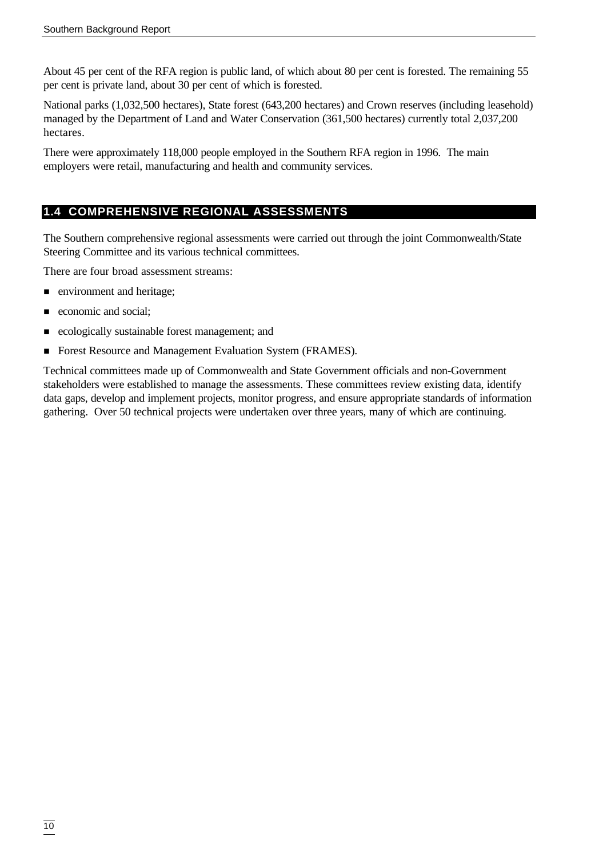About 45 per cent of the RFA region is public land, of which about 80 per cent is forested. The remaining 55 per cent is private land, about 30 per cent of which is forested.

National parks (1,032,500 hectares), State forest (643,200 hectares) and Crown reserves (including leasehold) managed by the Department of Land and Water Conservation (361,500 hectares) currently total 2,037,200 hectares.

There were approximately 118,000 people employed in the Southern RFA region in 1996. The main employers were retail, manufacturing and health and community services.

# **1.4 COMPREHENSIVE REGIONAL ASSESSMENTS**

The Southern comprehensive regional assessments were carried out through the joint Commonwealth/State Steering Committee and its various technical committees.

There are four broad assessment streams:

- n environment and heritage;
- **n** economic and social;
- ecologically sustainable forest management; and
- Forest Resource and Management Evaluation System (FRAMES).

Technical committees made up of Commonwealth and State Government officials and non-Government stakeholders were established to manage the assessments. These committees review existing data, identify data gaps, develop and implement projects, monitor progress, and ensure appropriate standards of information gathering. Over 50 technical projects were undertaken over three years, many of which are continuing.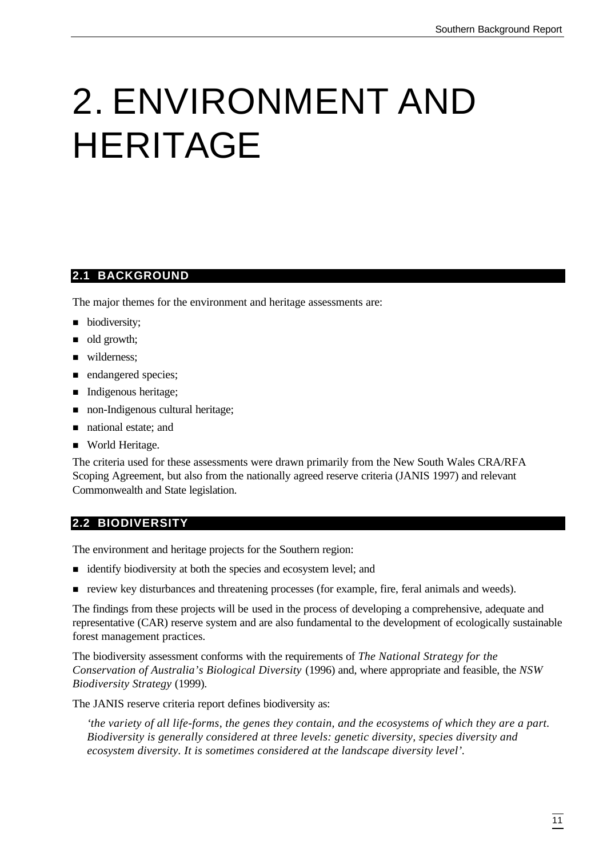# 2. ENVIRONMENT AND HERITAGE

#### **2.1 BACKGROUND**

The major themes for the environment and heritage assessments are:

- biodiversity;
- $\blacksquare$  old growth;
- wilderness:
- n endangered species;
- Indigenous heritage;
- non-Indigenous cultural heritage;
- national estate; and
- World Heritage.

The criteria used for these assessments were drawn primarily from the New South Wales CRA/RFA Scoping Agreement, but also from the nationally agreed reserve criteria (JANIS 1997) and relevant Commonwealth and State legislation.

# **2.2 BIODIVERSITY**

The environment and heritage projects for the Southern region:

- identify biodiversity at both the species and ecosystem level; and
- n review key disturbances and threatening processes (for example, fire, feral animals and weeds).

The findings from these projects will be used in the process of developing a comprehensive, adequate and representative (CAR) reserve system and are also fundamental to the development of ecologically sustainable forest management practices.

The biodiversity assessment conforms with the requirements of *The National Strategy for the Conservation of Australia's Biological Diversity* (1996) and, where appropriate and feasible, the *NSW Biodiversity Strategy* (1999).

The JANIS reserve criteria report defines biodiversity as:

*'the variety of all life-forms, the genes they contain, and the ecosystems of which they are a part. Biodiversity is generally considered at three levels: genetic diversity, species diversity and ecosystem diversity. It is sometimes considered at the landscape diversity level'.*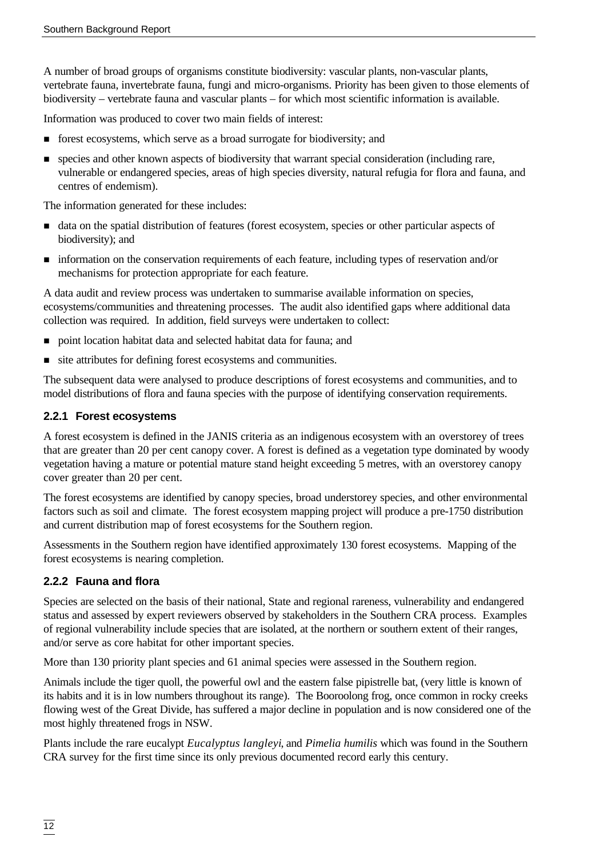A number of broad groups of organisms constitute biodiversity: vascular plants, non-vascular plants, vertebrate fauna, invertebrate fauna, fungi and micro-organisms. Priority has been given to those elements of biodiversity – vertebrate fauna and vascular plants – for which most scientific information is available.

Information was produced to cover two main fields of interest:

- forest ecosystems, which serve as a broad surrogate for biodiversity; and
- n species and other known aspects of biodiversity that warrant special consideration (including rare, vulnerable or endangered species, areas of high species diversity, natural refugia for flora and fauna, and centres of endemism).

The information generated for these includes:

- n data on the spatial distribution of features (forest ecosystem, species or other particular aspects of biodiversity); and
- n information on the conservation requirements of each feature, including types of reservation and/or mechanisms for protection appropriate for each feature.

A data audit and review process was undertaken to summarise available information on species, ecosystems/communities and threatening processes. The audit also identified gaps where additional data collection was required. In addition, field surveys were undertaken to collect:

- n point location habitat data and selected habitat data for fauna; and
- $\blacksquare$  site attributes for defining forest ecosystems and communities.

The subsequent data were analysed to produce descriptions of forest ecosystems and communities, and to model distributions of flora and fauna species with the purpose of identifying conservation requirements.

#### **2.2.1 Forest ecosystems**

A forest ecosystem is defined in the JANIS criteria as an indigenous ecosystem with an overstorey of trees that are greater than 20 per cent canopy cover. A forest is defined as a vegetation type dominated by woody vegetation having a mature or potential mature stand height exceeding 5 metres, with an overstorey canopy cover greater than 20 per cent.

The forest ecosystems are identified by canopy species, broad understorey species, and other environmental factors such as soil and climate. The forest ecosystem mapping project will produce a pre-1750 distribution and current distribution map of forest ecosystems for the Southern region.

Assessments in the Southern region have identified approximately 130 forest ecosystems. Mapping of the forest ecosystems is nearing completion.

#### **2.2.2 Fauna and flora**

Species are selected on the basis of their national, State and regional rareness, vulnerability and endangered status and assessed by expert reviewers observed by stakeholders in the Southern CRA process. Examples of regional vulnerability include species that are isolated, at the northern or southern extent of their ranges, and/or serve as core habitat for other important species.

More than 130 priority plant species and 61 animal species were assessed in the Southern region.

Animals include the tiger quoll, the powerful owl and the eastern false pipistrelle bat, (very little is known of its habits and it is in low numbers throughout its range). The Booroolong frog, once common in rocky creeks flowing west of the Great Divide, has suffered a major decline in population and is now considered one of the most highly threatened frogs in NSW.

Plants include the rare eucalypt *Eucalyptus langleyi*, and *Pimelia humilis* which was found in the Southern CRA survey for the first time since its only previous documented record early this century.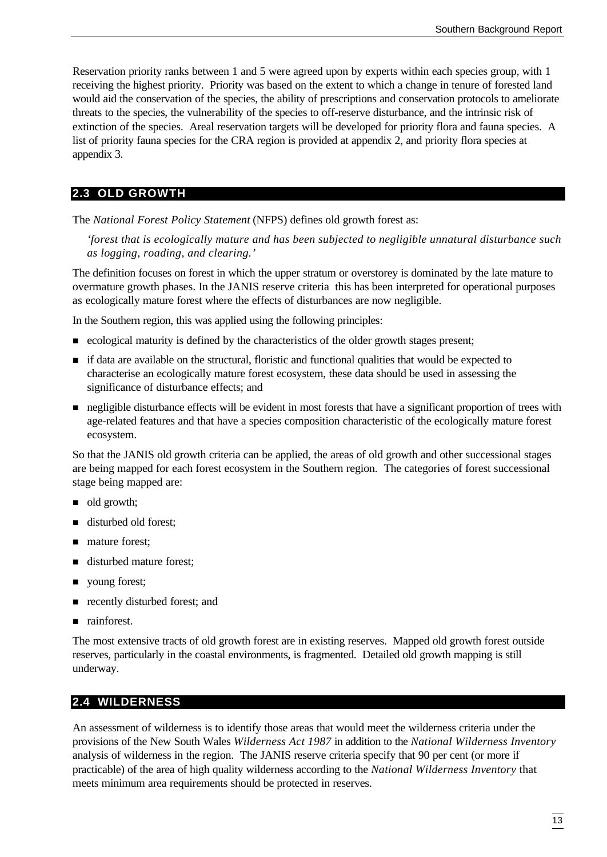Reservation priority ranks between 1 and 5 were agreed upon by experts within each species group, with 1 receiving the highest priority. Priority was based on the extent to which a change in tenure of forested land would aid the conservation of the species, the ability of prescriptions and conservation protocols to ameliorate threats to the species, the vulnerability of the species to off-reserve disturbance, and the intrinsic risk of extinction of the species. Areal reservation targets will be developed for priority flora and fauna species. A list of priority fauna species for the CRA region is provided at appendix 2, and priority flora species at appendix 3.

#### **2.3 OLD GROWTH**

The *National Forest Policy Statement* (NFPS) defines old growth forest as:

*'forest that is ecologically mature and has been subjected to negligible unnatural disturbance such as logging, roading, and clearing.'*

The definition focuses on forest in which the upper stratum or overstorey is dominated by the late mature to overmature growth phases. In the JANIS reserve criteria this has been interpreted for operational purposes as ecologically mature forest where the effects of disturbances are now negligible.

In the Southern region, this was applied using the following principles:

- n ecological maturity is defined by the characteristics of the older growth stages present;
- n if data are available on the structural, floristic and functional qualities that would be expected to characterise an ecologically mature forest ecosystem, these data should be used in assessing the significance of disturbance effects; and
- negligible disturbance effects will be evident in most forests that have a significant proportion of trees with age-related features and that have a species composition characteristic of the ecologically mature forest ecosystem.

So that the JANIS old growth criteria can be applied, the areas of old growth and other successional stages are being mapped for each forest ecosystem in the Southern region. The categories of forest successional stage being mapped are:

- $\blacksquare$  old growth;
- disturbed old forest;
- mature forest:
- disturbed mature forest;
- voung forest;
- n recently disturbed forest; and
- $\blacksquare$  rainforest.

The most extensive tracts of old growth forest are in existing reserves. Mapped old growth forest outside reserves, particularly in the coastal environments, is fragmented. Detailed old growth mapping is still underway.

#### **2.4 WILDERNESS**

An assessment of wilderness is to identify those areas that would meet the wilderness criteria under the provisions of the New South Wales *Wilderness Act 1987* in addition to the *National Wilderness Inventory* analysis of wilderness in the region. The JANIS reserve criteria specify that 90 per cent (or more if practicable) of the area of high quality wilderness according to the *National Wilderness Inventory* that meets minimum area requirements should be protected in reserves.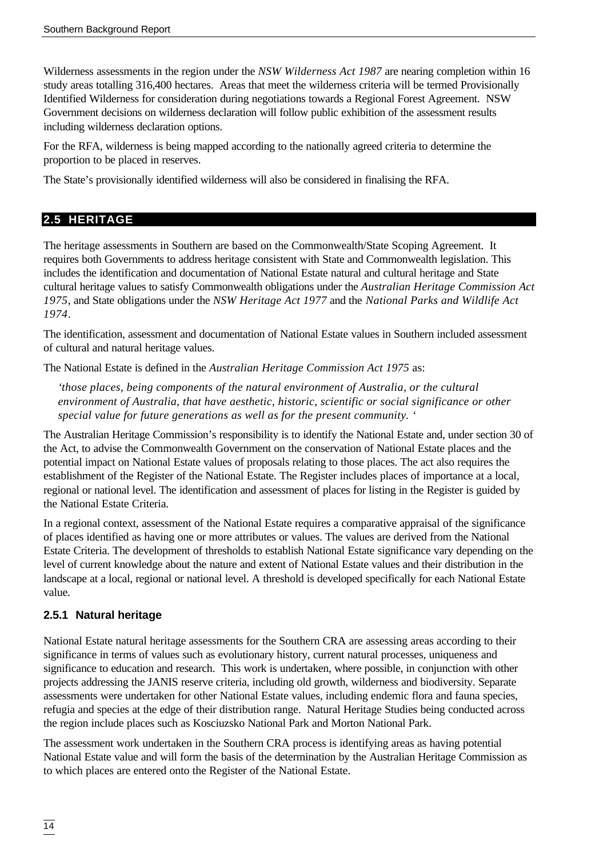Wilderness assessments in the region under the *NSW Wilderness Act 1987* are nearing completion within 16 study areas totalling 316,400 hectares. Areas that meet the wilderness criteria will be termed Provisionally Identified Wilderness for consideration during negotiations towards a Regional Forest Agreement. NSW Government decisions on wilderness declaration will follow public exhibition of the assessment results including wilderness declaration options.

For the RFA, wilderness is being mapped according to the nationally agreed criteria to determine the proportion to be placed in reserves.

The State's provisionally identified wilderness will also be considered in finalising the RFA.

### **2.5 HERITAGE**

The heritage assessments in Southern are based on the Commonwealth/State Scoping Agreement. It requires both Governments to address heritage consistent with State and Commonwealth legislation. This includes the identification and documentation of National Estate natural and cultural heritage and State cultural heritage values to satisfy Commonwealth obligations under the *Australian Heritage Commission Act 1975*, and State obligations under the *NSW Heritage Act 1977* and the *National Parks and Wildlife Act 1974*.

The identification, assessment and documentation of National Estate values in Southern included assessment of cultural and natural heritage values.

The National Estate is defined in the *Australian Heritage Commission Act 1975* as:

*'those places, being components of the natural environment of Australia, or the cultural environment of Australia, that have aesthetic, historic, scientific or social significance or other special value for future generations as well as for the present community. '*

The Australian Heritage Commission's responsibility is to identify the National Estate and, under section 30 of the Act, to advise the Commonwealth Government on the conservation of National Estate places and the potential impact on National Estate values of proposals relating to those places. The act also requires the establishment of the Register of the National Estate. The Register includes places of importance at a local, regional or national level. The identification and assessment of places for listing in the Register is guided by the National Estate Criteria.

In a regional context, assessment of the National Estate requires a comparative appraisal of the significance of places identified as having one or more attributes or values. The values are derived from the National Estate Criteria. The development of thresholds to establish National Estate significance vary depending on the level of current knowledge about the nature and extent of National Estate values and their distribution in the landscape at a local, regional or national level. A threshold is developed specifically for each National Estate value.

# **2.5.1 Natural heritage**

National Estate natural heritage assessments for the Southern CRA are assessing areas according to their significance in terms of values such as evolutionary history, current natural processes, uniqueness and significance to education and research. This work is undertaken, where possible, in conjunction with other projects addressing the JANIS reserve criteria, including old growth, wilderness and biodiversity. Separate assessments were undertaken for other National Estate values, including endemic flora and fauna species, refugia and species at the edge of their distribution range. Natural Heritage Studies being conducted across the region include places such as Kosciuzsko National Park and Morton National Park.

The assessment work undertaken in the Southern CRA process is identifying areas as having potential National Estate value and will form the basis of the determination by the Australian Heritage Commission as to which places are entered onto the Register of the National Estate.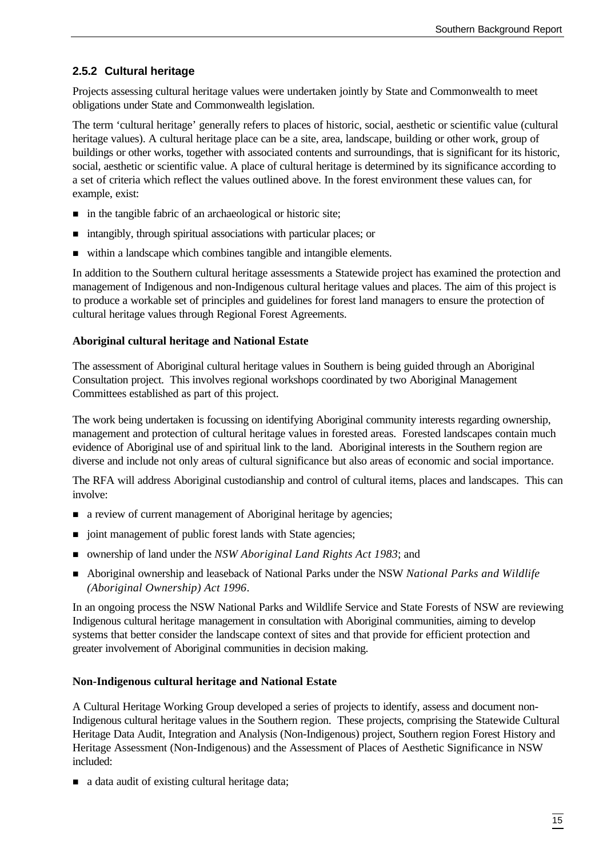# **2.5.2 Cultural heritage**

Projects assessing cultural heritage values were undertaken jointly by State and Commonwealth to meet obligations under State and Commonwealth legislation.

The term 'cultural heritage' generally refers to places of historic, social, aesthetic or scientific value (cultural heritage values). A cultural heritage place can be a site, area, landscape, building or other work, group of buildings or other works, together with associated contents and surroundings, that is significant for its historic, social, aesthetic or scientific value. A place of cultural heritage is determined by its significance according to a set of criteria which reflect the values outlined above. In the forest environment these values can, for example, exist:

- n in the tangible fabric of an archaeological or historic site;
- $\blacksquare$  intangibly, through spiritual associations with particular places; or
- within a landscape which combines tangible and intangible elements.

In addition to the Southern cultural heritage assessments a Statewide project has examined the protection and management of Indigenous and non-Indigenous cultural heritage values and places. The aim of this project is to produce a workable set of principles and guidelines for forest land managers to ensure the protection of cultural heritage values through Regional Forest Agreements.

#### **Aboriginal cultural heritage and National Estate**

The assessment of Aboriginal cultural heritage values in Southern is being guided through an Aboriginal Consultation project. This involves regional workshops coordinated by two Aboriginal Management Committees established as part of this project.

The work being undertaken is focussing on identifying Aboriginal community interests regarding ownership, management and protection of cultural heritage values in forested areas. Forested landscapes contain much evidence of Aboriginal use of and spiritual link to the land. Aboriginal interests in the Southern region are diverse and include not only areas of cultural significance but also areas of economic and social importance.

The RFA will address Aboriginal custodianship and control of cultural items, places and landscapes. This can involve:

- n a review of current management of Aboriginal heritage by agencies;
- joint management of public forest lands with State agencies;
- ownership of land under the *NSW Aboriginal Land Rights Act 1983*; and
- n Aboriginal ownership and leaseback of National Parks under the NSW *National Parks and Wildlife (Aboriginal Ownership) Act 1996*.

In an ongoing process the NSW National Parks and Wildlife Service and State Forests of NSW are reviewing Indigenous cultural heritage management in consultation with Aboriginal communities, aiming to develop systems that better consider the landscape context of sites and that provide for efficient protection and greater involvement of Aboriginal communities in decision making.

#### **Non-Indigenous cultural heritage and National Estate**

A Cultural Heritage Working Group developed a series of projects to identify, assess and document non-Indigenous cultural heritage values in the Southern region. These projects, comprising the Statewide Cultural Heritage Data Audit, Integration and Analysis (Non-Indigenous) project, Southern region Forest History and Heritage Assessment (Non-Indigenous) and the Assessment of Places of Aesthetic Significance in NSW included:

■ a data audit of existing cultural heritage data;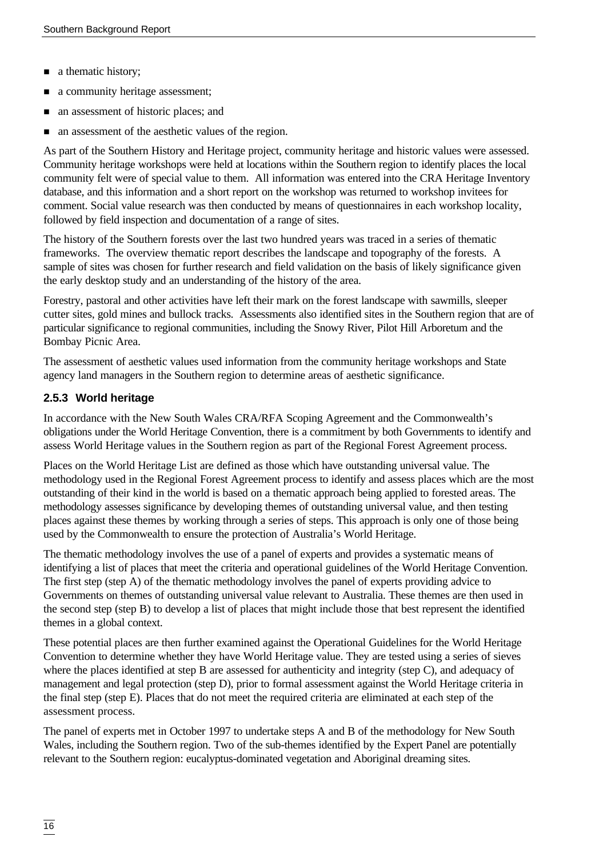- a thematic history;
- a community heritage assessment;
- n an assessment of historic places; and
- n an assessment of the aesthetic values of the region.

As part of the Southern History and Heritage project, community heritage and historic values were assessed. Community heritage workshops were held at locations within the Southern region to identify places the local community felt were of special value to them. All information was entered into the CRA Heritage Inventory database, and this information and a short report on the workshop was returned to workshop invitees for comment. Social value research was then conducted by means of questionnaires in each workshop locality, followed by field inspection and documentation of a range of sites.

The history of the Southern forests over the last two hundred years was traced in a series of thematic frameworks. The overview thematic report describes the landscape and topography of the forests. A sample of sites was chosen for further research and field validation on the basis of likely significance given the early desktop study and an understanding of the history of the area.

Forestry, pastoral and other activities have left their mark on the forest landscape with sawmills, sleeper cutter sites, gold mines and bullock tracks. Assessments also identified sites in the Southern region that are of particular significance to regional communities, including the Snowy River, Pilot Hill Arboretum and the Bombay Picnic Area.

The assessment of aesthetic values used information from the community heritage workshops and State agency land managers in the Southern region to determine areas of aesthetic significance.

### **2.5.3 World heritage**

In accordance with the New South Wales CRA/RFA Scoping Agreement and the Commonwealth's obligations under the World Heritage Convention, there is a commitment by both Governments to identify and assess World Heritage values in the Southern region as part of the Regional Forest Agreement process.

Places on the World Heritage List are defined as those which have outstanding universal value. The methodology used in the Regional Forest Agreement process to identify and assess places which are the most outstanding of their kind in the world is based on a thematic approach being applied to forested areas. The methodology assesses significance by developing themes of outstanding universal value, and then testing places against these themes by working through a series of steps. This approach is only one of those being used by the Commonwealth to ensure the protection of Australia's World Heritage.

The thematic methodology involves the use of a panel of experts and provides a systematic means of identifying a list of places that meet the criteria and operational guidelines of the World Heritage Convention. The first step (step A) of the thematic methodology involves the panel of experts providing advice to Governments on themes of outstanding universal value relevant to Australia. These themes are then used in the second step (step B) to develop a list of places that might include those that best represent the identified themes in a global context.

These potential places are then further examined against the Operational Guidelines for the World Heritage Convention to determine whether they have World Heritage value. They are tested using a series of sieves where the places identified at step B are assessed for authenticity and integrity (step C), and adequacy of management and legal protection (step D), prior to formal assessment against the World Heritage criteria in the final step (step E). Places that do not meet the required criteria are eliminated at each step of the assessment process.

The panel of experts met in October 1997 to undertake steps A and B of the methodology for New South Wales, including the Southern region. Two of the sub-themes identified by the Expert Panel are potentially relevant to the Southern region: eucalyptus-dominated vegetation and Aboriginal dreaming sites.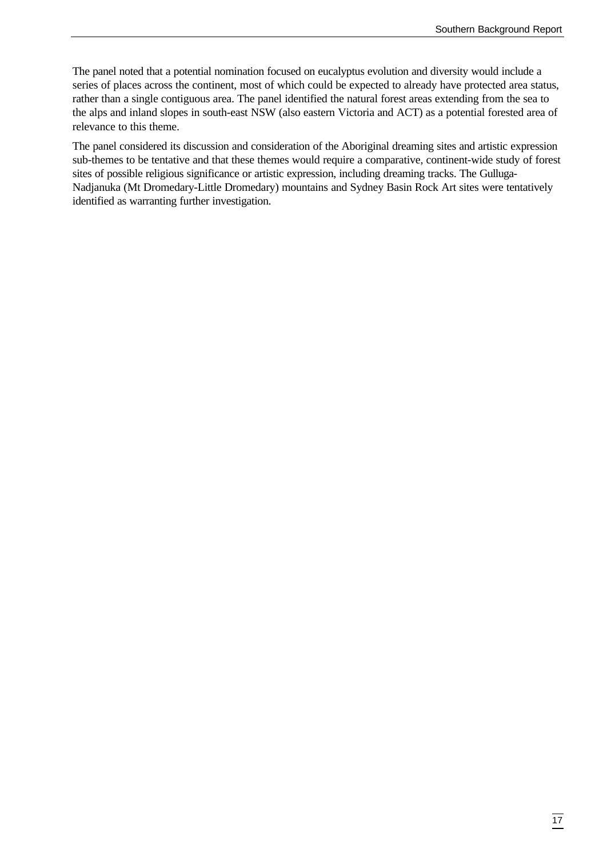The panel noted that a potential nomination focused on eucalyptus evolution and diversity would include a series of places across the continent, most of which could be expected to already have protected area status, rather than a single contiguous area. The panel identified the natural forest areas extending from the sea to the alps and inland slopes in south-east NSW (also eastern Victoria and ACT) as a potential forested area of relevance to this theme.

The panel considered its discussion and consideration of the Aboriginal dreaming sites and artistic expression sub-themes to be tentative and that these themes would require a comparative, continent-wide study of forest sites of possible religious significance or artistic expression, including dreaming tracks. The Gulluga-Nadjanuka (Mt Dromedary-Little Dromedary) mountains and Sydney Basin Rock Art sites were tentatively identified as warranting further investigation.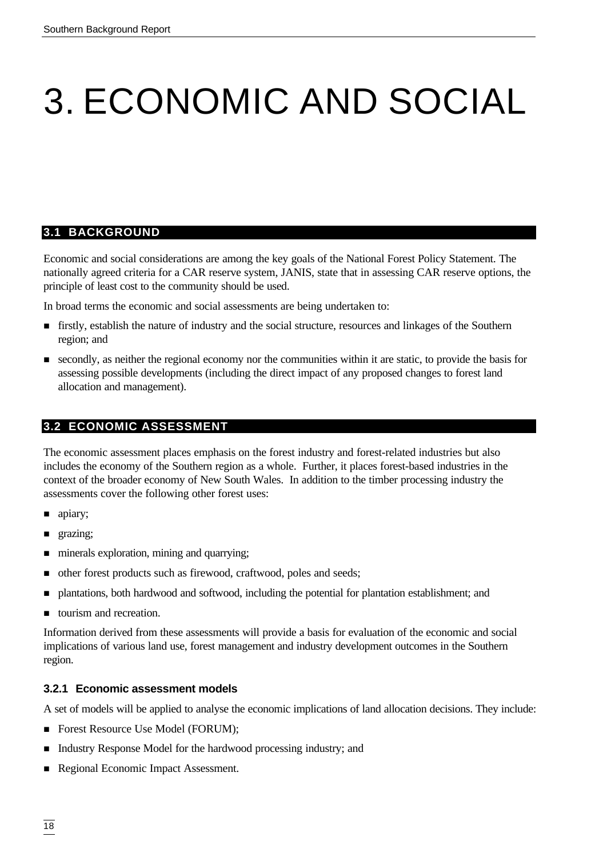# 3. ECONOMIC AND SOCIAL

#### **3.1 BACKGROUND**

Economic and social considerations are among the key goals of the National Forest Policy Statement. The nationally agreed criteria for a CAR reserve system, JANIS, state that in assessing CAR reserve options, the principle of least cost to the community should be used.

In broad terms the economic and social assessments are being undertaken to:

- n firstly, establish the nature of industry and the social structure, resources and linkages of the Southern region; and
- n secondly, as neither the regional economy nor the communities within it are static, to provide the basis for assessing possible developments (including the direct impact of any proposed changes to forest land allocation and management).

### **3.2 ECONOMIC ASSESSMENT**

The economic assessment places emphasis on the forest industry and forest-related industries but also includes the economy of the Southern region as a whole. Further, it places forest-based industries in the context of the broader economy of New South Wales. In addition to the timber processing industry the assessments cover the following other forest uses:

- $\blacksquare$  apiary;
- **n** grazing;
- $\blacksquare$  minerals exploration, mining and quarrying;
- other forest products such as firewood, craftwood, poles and seeds;
- n plantations, both hardwood and softwood, including the potential for plantation establishment; and
- $\blacksquare$  tourism and recreation.

Information derived from these assessments will provide a basis for evaluation of the economic and social implications of various land use, forest management and industry development outcomes in the Southern region.

#### **3.2.1 Economic assessment models**

A set of models will be applied to analyse the economic implications of land allocation decisions. They include:

- Forest Resource Use Model (FORUM);
- Industry Response Model for the hardwood processing industry; and
- Regional Economic Impact Assessment.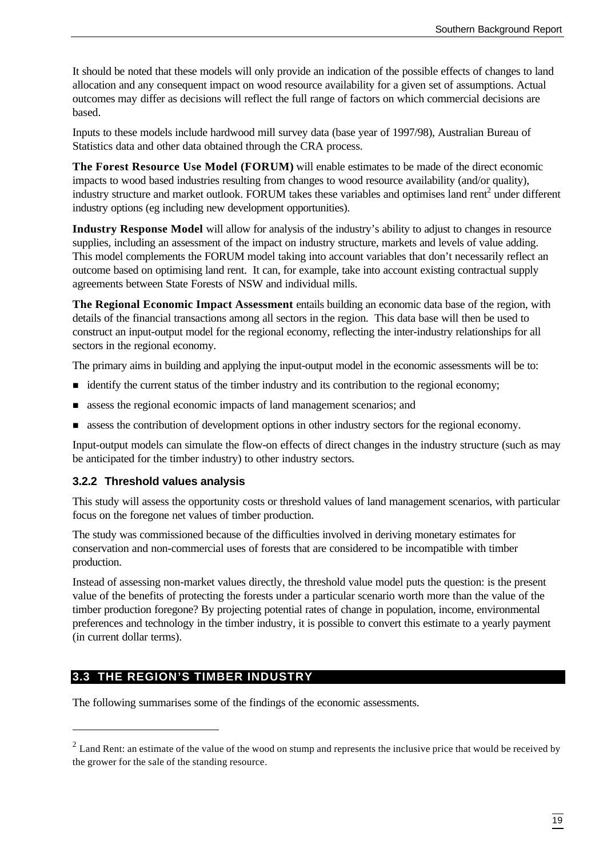It should be noted that these models will only provide an indication of the possible effects of changes to land allocation and any consequent impact on wood resource availability for a given set of assumptions. Actual outcomes may differ as decisions will reflect the full range of factors on which commercial decisions are based.

Inputs to these models include hardwood mill survey data (base year of 1997/98), Australian Bureau of Statistics data and other data obtained through the CRA process.

**The Forest Resource Use Model (FORUM)** will enable estimates to be made of the direct economic impacts to wood based industries resulting from changes to wood resource availability (and/or quality), industry structure and market outlook. FORUM takes these variables and optimises land rent<sup>2</sup> under different industry options (eg including new development opportunities).

**Industry Response Model** will allow for analysis of the industry's ability to adjust to changes in resource supplies, including an assessment of the impact on industry structure, markets and levels of value adding. This model complements the FORUM model taking into account variables that don't necessarily reflect an outcome based on optimising land rent. It can, for example, take into account existing contractual supply agreements between State Forests of NSW and individual mills.

**The Regional Economic Impact Assessment** entails building an economic data base of the region, with details of the financial transactions among all sectors in the region. This data base will then be used to construct an input-output model for the regional economy, reflecting the inter-industry relationships for all sectors in the regional economy.

The primary aims in building and applying the input-output model in the economic assessments will be to:

- identify the current status of the timber industry and its contribution to the regional economy;
- **n** assess the regional economic impacts of land management scenarios; and
- **n** assess the contribution of development options in other industry sectors for the regional economy.

Input-output models can simulate the flow-on effects of direct changes in the industry structure (such as may be anticipated for the timber industry) to other industry sectors.

#### **3.2.2 Threshold values analysis**

This study will assess the opportunity costs or threshold values of land management scenarios, with particular focus on the foregone net values of timber production.

The study was commissioned because of the difficulties involved in deriving monetary estimates for conservation and non-commercial uses of forests that are considered to be incompatible with timber production.

Instead of assessing non-market values directly, the threshold value model puts the question: is the present value of the benefits of protecting the forests under a particular scenario worth more than the value of the timber production foregone? By projecting potential rates of change in population, income, environmental preferences and technology in the timber industry, it is possible to convert this estimate to a yearly payment (in current dollar terms).

#### **3.3 THE REGION'S TIMBER INDUSTRY**

l

The following summarises some of the findings of the economic assessments.

 $2<sup>2</sup>$  Land Rent: an estimate of the value of the wood on stump and represents the inclusive price that would be received by the grower for the sale of the standing resource.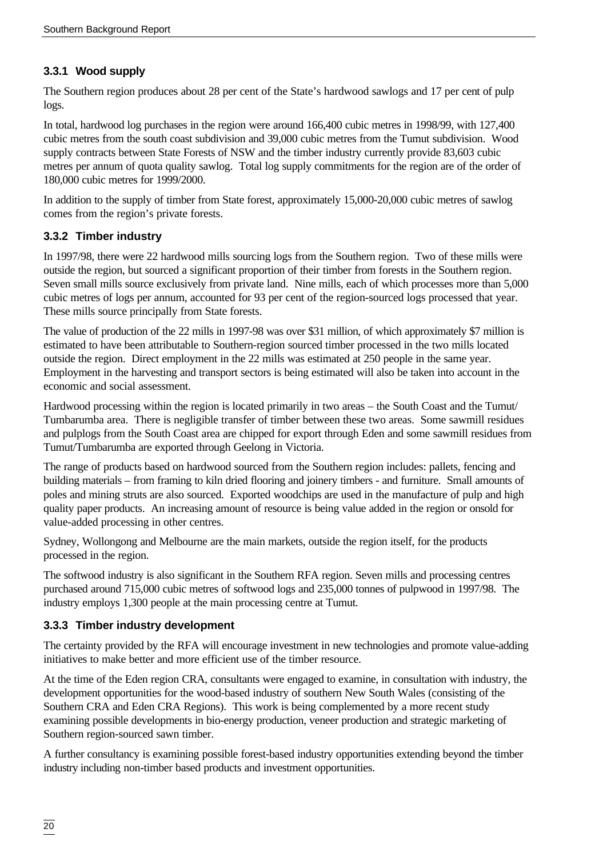# **3.3.1 Wood supply**

The Southern region produces about 28 per cent of the State's hardwood sawlogs and 17 per cent of pulp logs.

In total, hardwood log purchases in the region were around 166,400 cubic metres in 1998/99, with 127,400 cubic metres from the south coast subdivision and 39,000 cubic metres from the Tumut subdivision. Wood supply contracts between State Forests of NSW and the timber industry currently provide 83,603 cubic metres per annum of quota quality sawlog. Total log supply commitments for the region are of the order of 180,000 cubic metres for 1999/2000.

In addition to the supply of timber from State forest, approximately 15,000-20,000 cubic metres of sawlog comes from the region's private forests.

#### **3.3.2 Timber industry**

In 1997/98, there were 22 hardwood mills sourcing logs from the Southern region. Two of these mills were outside the region, but sourced a significant proportion of their timber from forests in the Southern region. Seven small mills source exclusively from private land. Nine mills, each of which processes more than 5,000 cubic metres of logs per annum, accounted for 93 per cent of the region-sourced logs processed that year. These mills source principally from State forests.

The value of production of the 22 mills in 1997-98 was over \$31 million, of which approximately \$7 million is estimated to have been attributable to Southern-region sourced timber processed in the two mills located outside the region. Direct employment in the 22 mills was estimated at 250 people in the same year. Employment in the harvesting and transport sectors is being estimated will also be taken into account in the economic and social assessment.

Hardwood processing within the region is located primarily in two areas – the South Coast and the Tumut/ Tumbarumba area. There is negligible transfer of timber between these two areas. Some sawmill residues and pulplogs from the South Coast area are chipped for export through Eden and some sawmill residues from Tumut/Tumbarumba are exported through Geelong in Victoria.

The range of products based on hardwood sourced from the Southern region includes: pallets, fencing and building materials – from framing to kiln dried flooring and joinery timbers - and furniture. Small amounts of poles and mining struts are also sourced. Exported woodchips are used in the manufacture of pulp and high quality paper products. An increasing amount of resource is being value added in the region or onsold for value-added processing in other centres.

Sydney, Wollongong and Melbourne are the main markets, outside the region itself, for the products processed in the region.

The softwood industry is also significant in the Southern RFA region. Seven mills and processing centres purchased around 715,000 cubic metres of softwood logs and 235,000 tonnes of pulpwood in 1997/98. The industry employs 1,300 people at the main processing centre at Tumut.

#### **3.3.3 Timber industry development**

The certainty provided by the RFA will encourage investment in new technologies and promote value-adding initiatives to make better and more efficient use of the timber resource.

At the time of the Eden region CRA, consultants were engaged to examine, in consultation with industry, the development opportunities for the wood-based industry of southern New South Wales (consisting of the Southern CRA and Eden CRA Regions). This work is being complemented by a more recent study examining possible developments in bio-energy production, veneer production and strategic marketing of Southern region-sourced sawn timber.

A further consultancy is examining possible forest-based industry opportunities extending beyond the timber industry including non-timber based products and investment opportunities.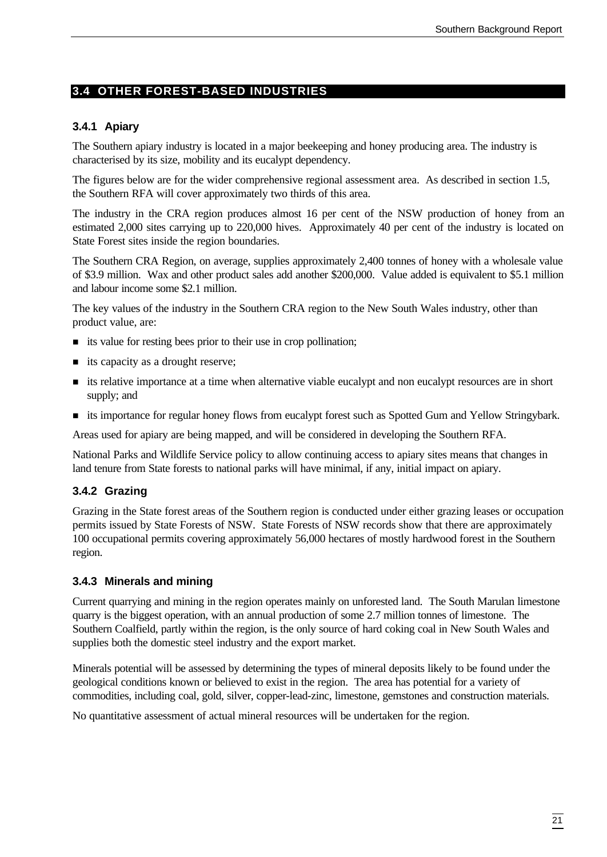# **3.4 OTHER FOREST-BASED INDUSTRIES**

#### **3.4.1 Apiary**

The Southern apiary industry is located in a major beekeeping and honey producing area. The industry is characterised by its size, mobility and its eucalypt dependency.

The figures below are for the wider comprehensive regional assessment area. As described in section 1.5, the Southern RFA will cover approximately two thirds of this area.

The industry in the CRA region produces almost 16 per cent of the NSW production of honey from an estimated 2,000 sites carrying up to 220,000 hives. Approximately 40 per cent of the industry is located on State Forest sites inside the region boundaries.

The Southern CRA Region, on average, supplies approximately 2,400 tonnes of honey with a wholesale value of \$3.9 million. Wax and other product sales add another \$200,000. Value added is equivalent to \$5.1 million and labour income some \$2.1 million.

The key values of the industry in the Southern CRA region to the New South Wales industry, other than product value, are:

- $\blacksquare$  its value for resting bees prior to their use in crop pollination;
- $\blacksquare$  its capacity as a drought reserve;
- n its relative importance at a time when alternative viable eucalypt and non eucalypt resources are in short supply; and
- n its importance for regular honey flows from eucalypt forest such as Spotted Gum and Yellow Stringybark.

Areas used for apiary are being mapped, and will be considered in developing the Southern RFA.

National Parks and Wildlife Service policy to allow continuing access to apiary sites means that changes in land tenure from State forests to national parks will have minimal, if any, initial impact on apiary.

#### **3.4.2 Grazing**

Grazing in the State forest areas of the Southern region is conducted under either grazing leases or occupation permits issued by State Forests of NSW. State Forests of NSW records show that there are approximately 100 occupational permits covering approximately 56,000 hectares of mostly hardwood forest in the Southern region.

#### **3.4.3 Minerals and mining**

Current quarrying and mining in the region operates mainly on unforested land. The South Marulan limestone quarry is the biggest operation, with an annual production of some 2.7 million tonnes of limestone. The Southern Coalfield, partly within the region, is the only source of hard coking coal in New South Wales and supplies both the domestic steel industry and the export market.

Minerals potential will be assessed by determining the types of mineral deposits likely to be found under the geological conditions known or believed to exist in the region. The area has potential for a variety of commodities, including coal, gold, silver, copper-lead-zinc, limestone, gemstones and construction materials.

No quantitative assessment of actual mineral resources will be undertaken for the region.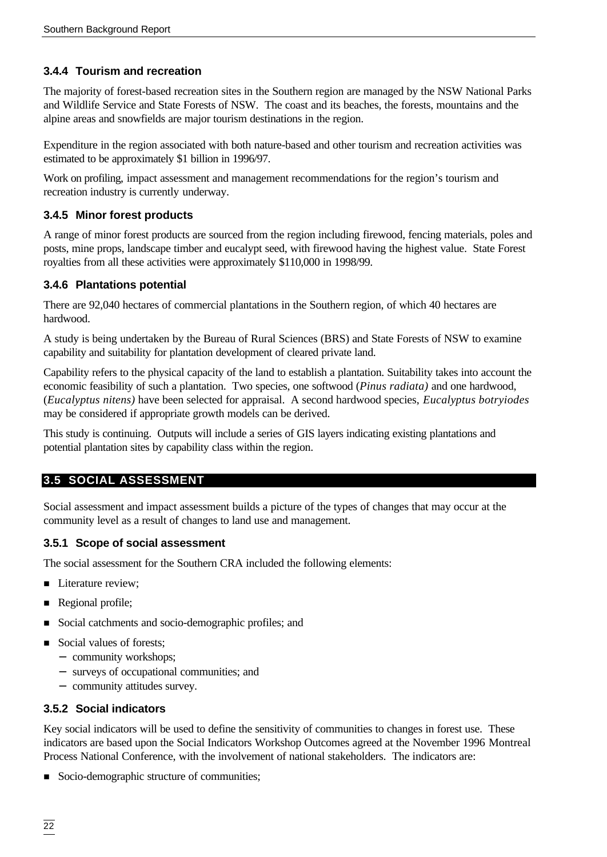### **3.4.4 Tourism and recreation**

The majority of forest-based recreation sites in the Southern region are managed by the NSW National Parks and Wildlife Service and State Forests of NSW. The coast and its beaches, the forests, mountains and the alpine areas and snowfields are major tourism destinations in the region.

Expenditure in the region associated with both nature-based and other tourism and recreation activities was estimated to be approximately \$1 billion in 1996/97.

Work on profiling, impact assessment and management recommendations for the region's tourism and recreation industry is currently underway.

#### **3.4.5 Minor forest products**

A range of minor forest products are sourced from the region including firewood, fencing materials, poles and posts, mine props, landscape timber and eucalypt seed, with firewood having the highest value. State Forest royalties from all these activities were approximately \$110,000 in 1998/99.

#### **3.4.6 Plantations potential**

There are 92,040 hectares of commercial plantations in the Southern region, of which 40 hectares are hardwood.

A study is being undertaken by the Bureau of Rural Sciences (BRS) and State Forests of NSW to examine capability and suitability for plantation development of cleared private land.

Capability refers to the physical capacity of the land to establish a plantation. Suitability takes into account the economic feasibility of such a plantation. Two species, one softwood (*Pinus radiata)* and one hardwood, (*Eucalyptus nitens)* have been selected for appraisal. A second hardwood species, *Eucalyptus botryiodes* may be considered if appropriate growth models can be derived.

This study is continuing. Outputs will include a series of GIS layers indicating existing plantations and potential plantation sites by capability class within the region.

# **3.5 SOCIAL ASSESSMENT**

Social assessment and impact assessment builds a picture of the types of changes that may occur at the community level as a result of changes to land use and management.

#### **3.5.1 Scope of social assessment**

The social assessment for the Southern CRA included the following elements:

- Literature review;
- Regional profile;
- Social catchments and socio-demographic profiles; and
- Social values of forests:
	- − community workshops;
	- − surveys of occupational communities; and
	- − community attitudes survey.

#### **3.5.2 Social indicators**

Key social indicators will be used to define the sensitivity of communities to changes in forest use. These indicators are based upon the Social Indicators Workshop Outcomes agreed at the November 1996 Montreal Process National Conference, with the involvement of national stakeholders. The indicators are:

Socio-demographic structure of communities;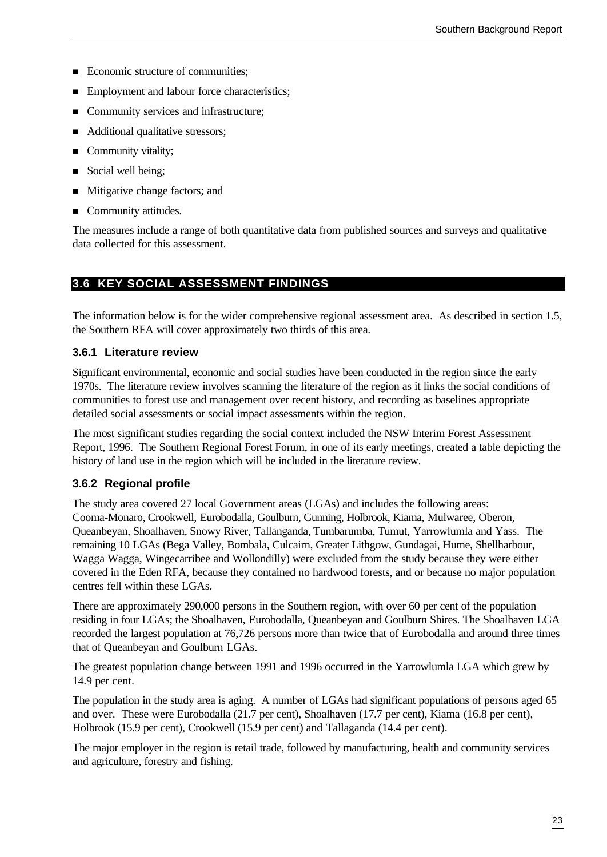- Economic structure of communities;
- Employment and labour force characteristics;
- Community services and infrastructure;
- Additional qualitative stressors;
- Community vitality;
- Social well being;
- Mitigative change factors; and
- Community attitudes.

The measures include a range of both quantitative data from published sources and surveys and qualitative data collected for this assessment.

#### **3.6 KEY SOCIAL ASSESSMENT FINDINGS**

The information below is for the wider comprehensive regional assessment area. As described in section 1.5, the Southern RFA will cover approximately two thirds of this area.

#### **3.6.1 Literature review**

Significant environmental, economic and social studies have been conducted in the region since the early 1970s. The literature review involves scanning the literature of the region as it links the social conditions of communities to forest use and management over recent history, and recording as baselines appropriate detailed social assessments or social impact assessments within the region.

The most significant studies regarding the social context included the NSW Interim Forest Assessment Report, 1996. The Southern Regional Forest Forum, in one of its early meetings, created a table depicting the history of land use in the region which will be included in the literature review.

#### **3.6.2 Regional profile**

The study area covered 27 local Government areas (LGAs) and includes the following areas: Cooma-Monaro, Crookwell, Eurobodalla, Goulburn, Gunning, Holbrook, Kiama, Mulwaree, Oberon, Queanbeyan, Shoalhaven, Snowy River, Tallanganda, Tumbarumba, Tumut, Yarrowlumla and Yass. The remaining 10 LGAs (Bega Valley, Bombala, Culcairn, Greater Lithgow, Gundagai, Hume, Shellharbour, Wagga Wagga, Wingecarribee and Wollondilly) were excluded from the study because they were either covered in the Eden RFA, because they contained no hardwood forests, and or because no major population centres fell within these LGAs.

There are approximately 290,000 persons in the Southern region, with over 60 per cent of the population residing in four LGAs; the Shoalhaven, Eurobodalla, Queanbeyan and Goulburn Shires. The Shoalhaven LGA recorded the largest population at 76,726 persons more than twice that of Eurobodalla and around three times that of Queanbeyan and Goulburn LGAs.

The greatest population change between 1991 and 1996 occurred in the Yarrowlumla LGA which grew by 14.9 per cent.

The population in the study area is aging. A number of LGAs had significant populations of persons aged 65 and over. These were Eurobodalla (21.7 per cent), Shoalhaven (17.7 per cent), Kiama (16.8 per cent), Holbrook (15.9 per cent), Crookwell (15.9 per cent) and Tallaganda (14.4 per cent).

The major employer in the region is retail trade, followed by manufacturing, health and community services and agriculture, forestry and fishing.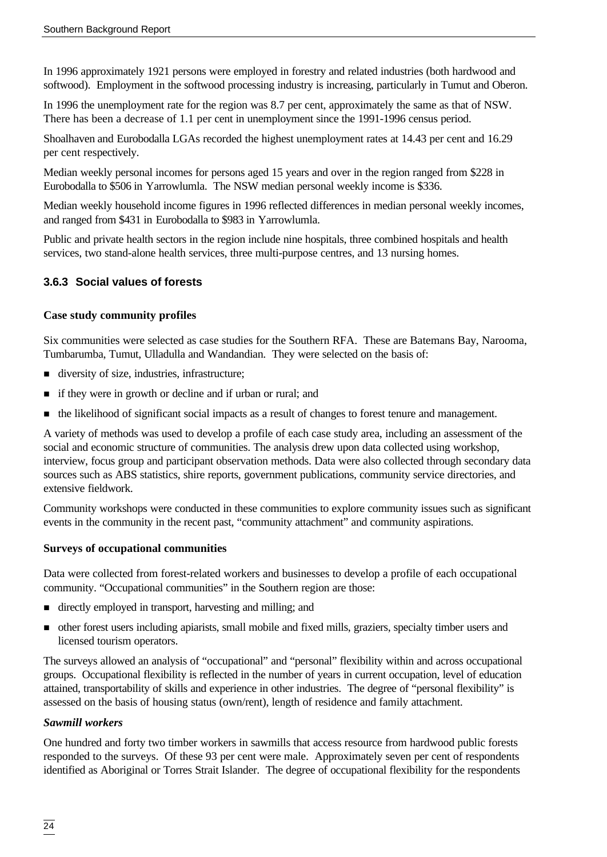In 1996 approximately 1921 persons were employed in forestry and related industries (both hardwood and softwood). Employment in the softwood processing industry is increasing, particularly in Tumut and Oberon.

In 1996 the unemployment rate for the region was 8.7 per cent, approximately the same as that of NSW. There has been a decrease of 1.1 per cent in unemployment since the 1991-1996 census period.

Shoalhaven and Eurobodalla LGAs recorded the highest unemployment rates at 14.43 per cent and 16.29 per cent respectively.

Median weekly personal incomes for persons aged 15 years and over in the region ranged from \$228 in Eurobodalla to \$506 in Yarrowlumla. The NSW median personal weekly income is \$336.

Median weekly household income figures in 1996 reflected differences in median personal weekly incomes, and ranged from \$431 in Eurobodalla to \$983 in Yarrowlumla.

Public and private health sectors in the region include nine hospitals, three combined hospitals and health services, two stand-alone health services, three multi-purpose centres, and 13 nursing homes.

### **3.6.3 Social values of forests**

#### **Case study community profiles**

Six communities were selected as case studies for the Southern RFA. These are Batemans Bay, Narooma, Tumbarumba, Tumut, Ulladulla and Wandandian. They were selected on the basis of:

- diversity of size, industries, infrastructure;
- n if they were in growth or decline and if urban or rural; and
- n the likelihood of significant social impacts as a result of changes to forest tenure and management.

A variety of methods was used to develop a profile of each case study area, including an assessment of the social and economic structure of communities. The analysis drew upon data collected using workshop, interview, focus group and participant observation methods. Data were also collected through secondary data sources such as ABS statistics, shire reports, government publications, community service directories, and extensive fieldwork.

Community workshops were conducted in these communities to explore community issues such as significant events in the community in the recent past, "community attachment" and community aspirations.

#### **Surveys of occupational communities**

Data were collected from forest-related workers and businesses to develop a profile of each occupational community. "Occupational communities" in the Southern region are those:

- directly employed in transport, harvesting and milling; and
- n other forest users including apiarists, small mobile and fixed mills, graziers, specialty timber users and licensed tourism operators.

The surveys allowed an analysis of "occupational" and "personal" flexibility within and across occupational groups. Occupational flexibility is reflected in the number of years in current occupation, level of education attained, transportability of skills and experience in other industries. The degree of "personal flexibility" is assessed on the basis of housing status (own/rent), length of residence and family attachment.

#### *Sawmill workers*

One hundred and forty two timber workers in sawmills that access resource from hardwood public forests responded to the surveys. Of these 93 per cent were male. Approximately seven per cent of respondents identified as Aboriginal or Torres Strait Islander. The degree of occupational flexibility for the respondents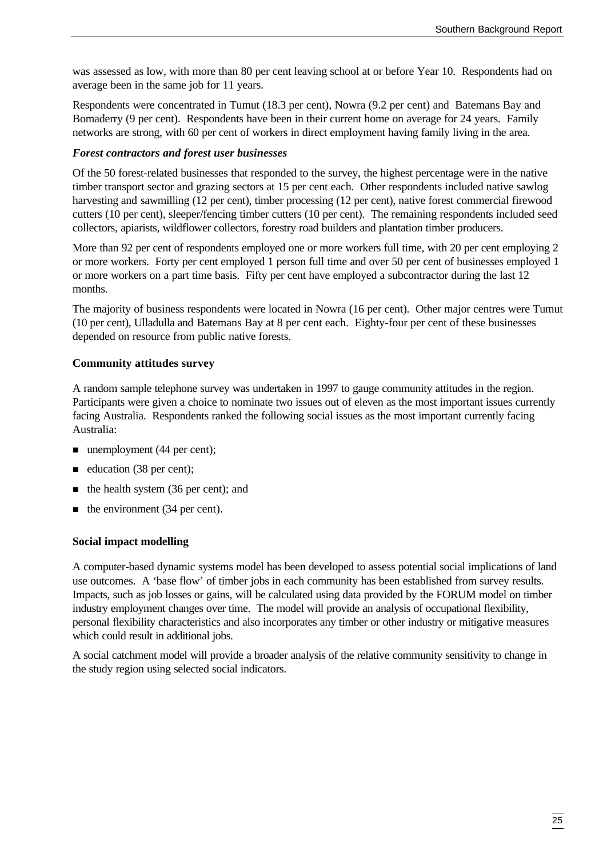was assessed as low, with more than 80 per cent leaving school at or before Year 10. Respondents had on average been in the same job for 11 years.

Respondents were concentrated in Tumut (18.3 per cent), Nowra (9.2 per cent) and Batemans Bay and Bomaderry (9 per cent). Respondents have been in their current home on average for 24 years. Family networks are strong, with 60 per cent of workers in direct employment having family living in the area.

#### *Forest contractors and forest user businesses*

Of the 50 forest-related businesses that responded to the survey, the highest percentage were in the native timber transport sector and grazing sectors at 15 per cent each. Other respondents included native sawlog harvesting and sawmilling (12 per cent), timber processing (12 per cent), native forest commercial firewood cutters (10 per cent), sleeper/fencing timber cutters (10 per cent). The remaining respondents included seed collectors, apiarists, wildflower collectors, forestry road builders and plantation timber producers.

More than 92 per cent of respondents employed one or more workers full time, with 20 per cent employing 2 or more workers. Forty per cent employed 1 person full time and over 50 per cent of businesses employed 1 or more workers on a part time basis. Fifty per cent have employed a subcontractor during the last 12 months.

The majority of business respondents were located in Nowra (16 per cent). Other major centres were Tumut (10 per cent), Ulladulla and Batemans Bay at 8 per cent each. Eighty-four per cent of these businesses depended on resource from public native forests.

#### **Community attitudes survey**

A random sample telephone survey was undertaken in 1997 to gauge community attitudes in the region. Participants were given a choice to nominate two issues out of eleven as the most important issues currently facing Australia. Respondents ranked the following social issues as the most important currently facing Australia:

- $\blacksquare$  unemployment (44 per cent);
- $\blacksquare$  education (38 per cent);
- $\blacksquare$  the health system (36 per cent); and
- $\blacksquare$  the environment (34 per cent).

#### **Social impact modelling**

A computer-based dynamic systems model has been developed to assess potential social implications of land use outcomes. A 'base flow' of timber jobs in each community has been established from survey results. Impacts, such as job losses or gains, will be calculated using data provided by the FORUM model on timber industry employment changes over time. The model will provide an analysis of occupational flexibility, personal flexibility characteristics and also incorporates any timber or other industry or mitigative measures which could result in additional jobs.

A social catchment model will provide a broader analysis of the relative community sensitivity to change in the study region using selected social indicators.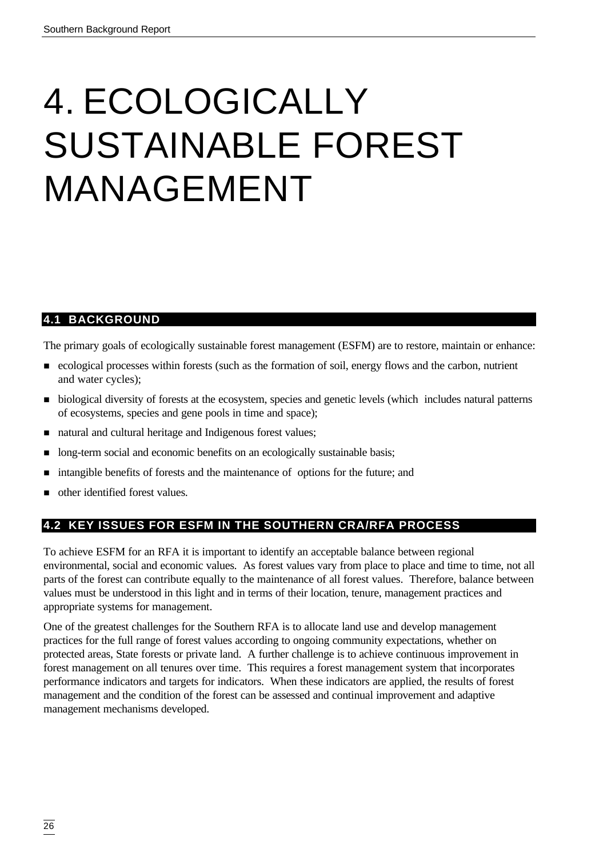# 4. ECOLOGICALLY SUSTAINABLE FOREST MANAGEMENT

# **4.1 BACKGROUND**

The primary goals of ecologically sustainable forest management (ESFM) are to restore, maintain or enhance:

- n ecological processes within forests (such as the formation of soil, energy flows and the carbon, nutrient and water cycles);
- n biological diversity of forests at the ecosystem, species and genetic levels (which includes natural patterns of ecosystems, species and gene pools in time and space);
- natural and cultural heritage and Indigenous forest values;
- n long-term social and economic benefits on an ecologically sustainable basis;
- n intangible benefits of forests and the maintenance of options for the future; and
- n other identified forest values.

# **4.2 KEY ISSUES FOR ESFM IN THE SOUTHERN CRA/RFA PROCESS**

To achieve ESFM for an RFA it is important to identify an acceptable balance between regional environmental, social and economic values. As forest values vary from place to place and time to time, not all parts of the forest can contribute equally to the maintenance of all forest values. Therefore, balance between values must be understood in this light and in terms of their location, tenure, management practices and appropriate systems for management.

One of the greatest challenges for the Southern RFA is to allocate land use and develop management practices for the full range of forest values according to ongoing community expectations, whether on protected areas, State forests or private land. A further challenge is to achieve continuous improvement in forest management on all tenures over time. This requires a forest management system that incorporates performance indicators and targets for indicators. When these indicators are applied, the results of forest management and the condition of the forest can be assessed and continual improvement and adaptive management mechanisms developed.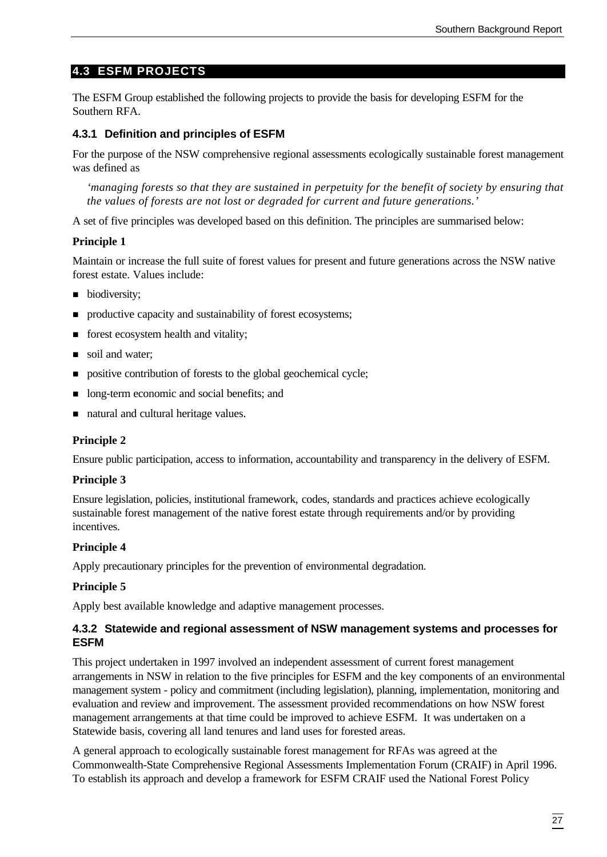### **4.3 ESFM PROJECTS**

The ESFM Group established the following projects to provide the basis for developing ESFM for the Southern RFA.

#### **4.3.1 Definition and principles of ESFM**

For the purpose of the NSW comprehensive regional assessments ecologically sustainable forest management was defined as

*'managing forests so that they are sustained in perpetuity for the benefit of society by ensuring that the values of forests are not lost or degraded for current and future generations.'*

A set of five principles was developed based on this definition. The principles are summarised below:

#### **Principle 1**

Maintain or increase the full suite of forest values for present and future generations across the NSW native forest estate. Values include:

- biodiversity;
- n productive capacity and sustainability of forest ecosystems;
- $\blacksquare$  forest ecosystem health and vitality;
- soil and water;
- $\Box$  positive contribution of forests to the global geochemical cycle;
- n long-term economic and social benefits; and
- natural and cultural heritage values.

#### **Principle 2**

Ensure public participation, access to information, accountability and transparency in the delivery of ESFM.

#### **Principle 3**

Ensure legislation, policies, institutional framework, codes, standards and practices achieve ecologically sustainable forest management of the native forest estate through requirements and/or by providing *incentives* 

#### **Principle 4**

Apply precautionary principles for the prevention of environmental degradation.

#### **Principle 5**

Apply best available knowledge and adaptive management processes.

#### **4.3.2 Statewide and regional assessment of NSW management systems and processes for ESFM**

This project undertaken in 1997 involved an independent assessment of current forest management arrangements in NSW in relation to the five principles for ESFM and the key components of an environmental management system - policy and commitment (including legislation), planning, implementation, monitoring and evaluation and review and improvement. The assessment provided recommendations on how NSW forest management arrangements at that time could be improved to achieve ESFM. It was undertaken on a Statewide basis, covering all land tenures and land uses for forested areas.

A general approach to ecologically sustainable forest management for RFAs was agreed at the Commonwealth-State Comprehensive Regional Assessments Implementation Forum (CRAIF) in April 1996. To establish its approach and develop a framework for ESFM CRAIF used the National Forest Policy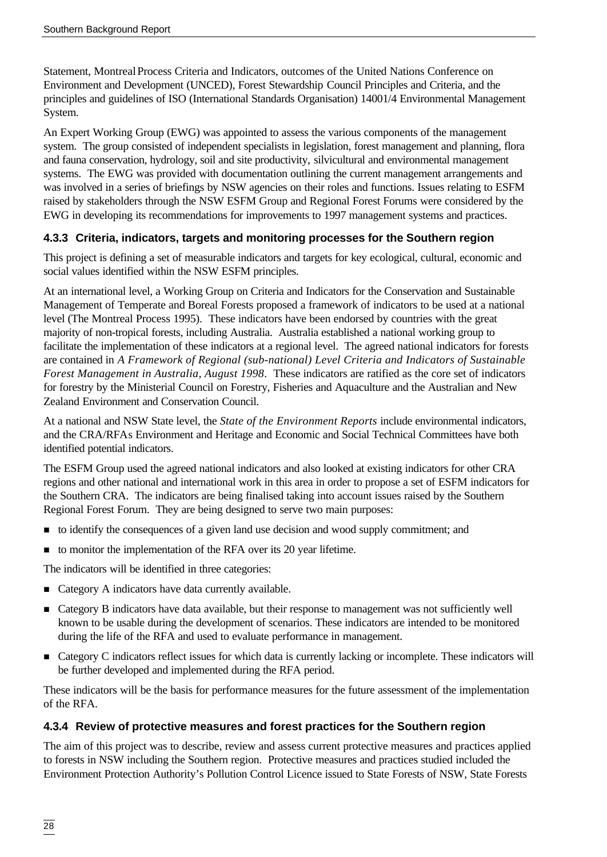Statement, Montreal Process Criteria and Indicators, outcomes of the United Nations Conference on Environment and Development (UNCED), Forest Stewardship Council Principles and Criteria, and the principles and guidelines of ISO (International Standards Organisation) 14001/4 Environmental Management System.

An Expert Working Group (EWG) was appointed to assess the various components of the management system. The group consisted of independent specialists in legislation, forest management and planning, flora and fauna conservation, hydrology, soil and site productivity, silvicultural and environmental management systems. The EWG was provided with documentation outlining the current management arrangements and was involved in a series of briefings by NSW agencies on their roles and functions. Issues relating to ESFM raised by stakeholders through the NSW ESFM Group and Regional Forest Forums were considered by the EWG in developing its recommendations for improvements to 1997 management systems and practices.

### **4.3.3 Criteria, indicators, targets and monitoring processes for the Southern region**

This project is defining a set of measurable indicators and targets for key ecological, cultural, economic and social values identified within the NSW ESFM principles.

At an international level, a Working Group on Criteria and Indicators for the Conservation and Sustainable Management of Temperate and Boreal Forests proposed a framework of indicators to be used at a national level (The Montreal Process 1995). These indicators have been endorsed by countries with the great majority of non-tropical forests, including Australia. Australia established a national working group to facilitate the implementation of these indicators at a regional level. The agreed national indicators for forests are contained in *A Framework of Regional (sub-national) Level Criteria and Indicators of Sustainable Forest Management in Australia, August 1998*. These indicators are ratified as the core set of indicators for forestry by the Ministerial Council on Forestry, Fisheries and Aquaculture and the Australian and New Zealand Environment and Conservation Council.

At a national and NSW State level, the *State of the Environment Reports* include environmental indicators, and the CRA/RFAs Environment and Heritage and Economic and Social Technical Committees have both identified potential indicators.

The ESFM Group used the agreed national indicators and also looked at existing indicators for other CRA regions and other national and international work in this area in order to propose a set of ESFM indicators for the Southern CRA. The indicators are being finalised taking into account issues raised by the Southern Regional Forest Forum. They are being designed to serve two main purposes:

- n to identify the consequences of a given land use decision and wood supply commitment; and
- to monitor the implementation of the RFA over its 20 year lifetime.

The indicators will be identified in three categories:

- Category A indicators have data currently available.
- Category B indicators have data available, but their response to management was not sufficiently well known to be usable during the development of scenarios. These indicators are intended to be monitored during the life of the RFA and used to evaluate performance in management.
- n Category C indicators reflect issues for which data is currently lacking or incomplete. These indicators will be further developed and implemented during the RFA period.

These indicators will be the basis for performance measures for the future assessment of the implementation of the RFA.

#### **4.3.4 Review of protective measures and forest practices for the Southern region**

The aim of this project was to describe, review and assess current protective measures and practices applied to forests in NSW including the Southern region. Protective measures and practices studied included the Environment Protection Authority's Pollution Control Licence issued to State Forests of NSW, State Forests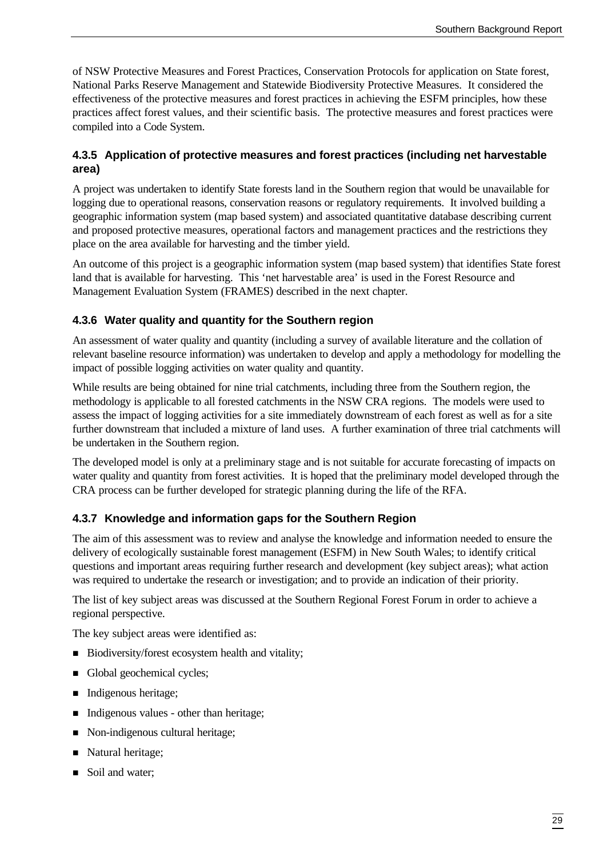of NSW Protective Measures and Forest Practices, Conservation Protocols for application on State forest, National Parks Reserve Management and Statewide Biodiversity Protective Measures. It considered the effectiveness of the protective measures and forest practices in achieving the ESFM principles, how these practices affect forest values, and their scientific basis. The protective measures and forest practices were compiled into a Code System.

#### **4.3.5 Application of protective measures and forest practices (including net harvestable area)**

A project was undertaken to identify State forests land in the Southern region that would be unavailable for logging due to operational reasons, conservation reasons or regulatory requirements. It involved building a geographic information system (map based system) and associated quantitative database describing current and proposed protective measures, operational factors and management practices and the restrictions they place on the area available for harvesting and the timber yield.

An outcome of this project is a geographic information system (map based system) that identifies State forest land that is available for harvesting. This 'net harvestable area' is used in the Forest Resource and Management Evaluation System (FRAMES) described in the next chapter.

#### **4.3.6 Water quality and quantity for the Southern region**

An assessment of water quality and quantity (including a survey of available literature and the collation of relevant baseline resource information) was undertaken to develop and apply a methodology for modelling the impact of possible logging activities on water quality and quantity.

While results are being obtained for nine trial catchments, including three from the Southern region, the methodology is applicable to all forested catchments in the NSW CRA regions. The models were used to assess the impact of logging activities for a site immediately downstream of each forest as well as for a site further downstream that included a mixture of land uses. A further examination of three trial catchments will be undertaken in the Southern region.

The developed model is only at a preliminary stage and is not suitable for accurate forecasting of impacts on water quality and quantity from forest activities. It is hoped that the preliminary model developed through the CRA process can be further developed for strategic planning during the life of the RFA.

#### **4.3.7 Knowledge and information gaps for the Southern Region**

The aim of this assessment was to review and analyse the knowledge and information needed to ensure the delivery of ecologically sustainable forest management (ESFM) in New South Wales; to identify critical questions and important areas requiring further research and development (key subject areas); what action was required to undertake the research or investigation; and to provide an indication of their priority.

The list of key subject areas was discussed at the Southern Regional Forest Forum in order to achieve a regional perspective.

The key subject areas were identified as:

- Biodiversity/forest ecosystem health and vitality;
- Global geochemical cycles;
- Indigenous heritage;
- Indigenous values other than heritage;
- Non-indigenous cultural heritage;
- Natural heritage;
- Soil and water;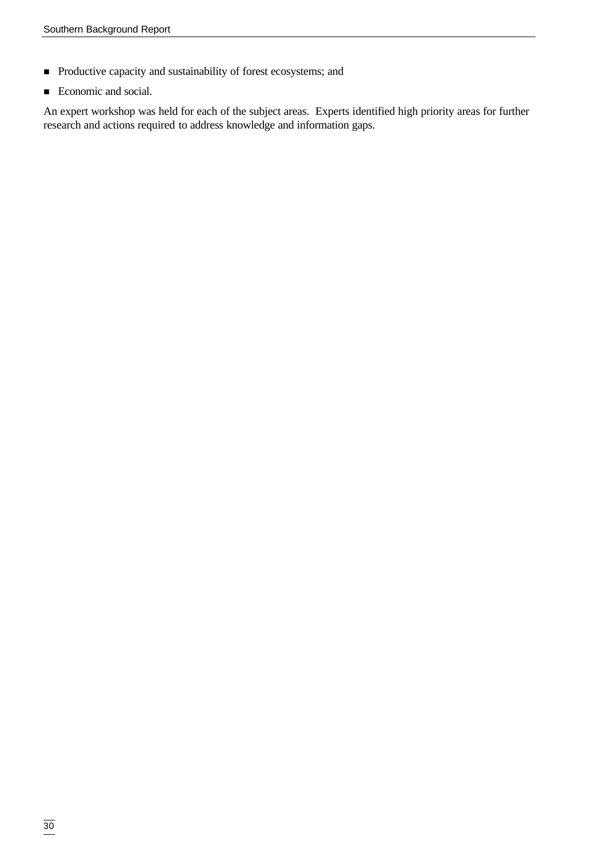- n Productive capacity and sustainability of forest ecosystems; and
- Economic and social.

An expert workshop was held for each of the subject areas. Experts identified high priority areas for further research and actions required to address knowledge and information gaps.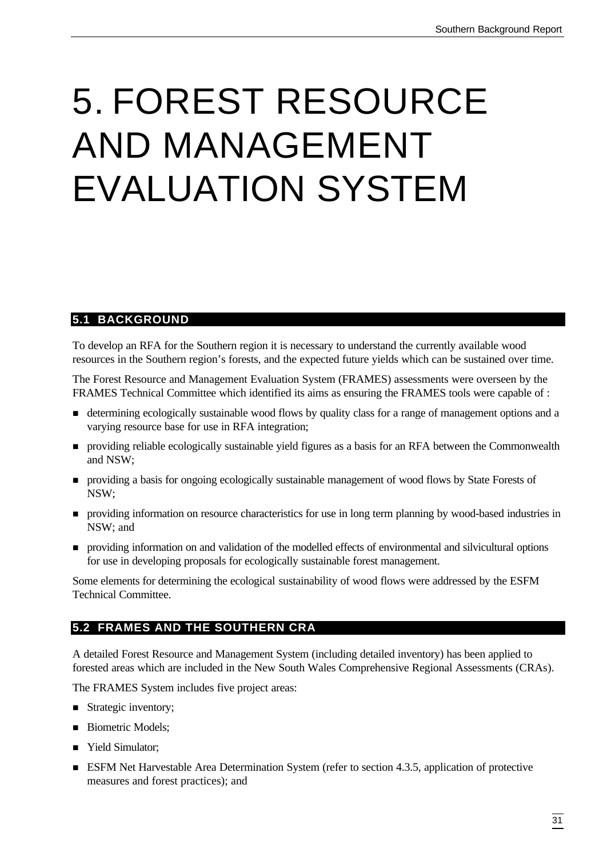# 5. FOREST RESOURCE AND MANAGEMENT EVALUATION SYSTEM

# **5.1 BACKGROUND**

To develop an RFA for the Southern region it is necessary to understand the currently available wood resources in the Southern region's forests, and the expected future yields which can be sustained over time.

The Forest Resource and Management Evaluation System (FRAMES) assessments were overseen by the FRAMES Technical Committee which identified its aims as ensuring the FRAMES tools were capable of :

- n determining ecologically sustainable wood flows by quality class for a range of management options and a varying resource base for use in RFA integration;
- n providing reliable ecologically sustainable yield figures as a basis for an RFA between the Commonwealth and NSW;
- n providing a basis for ongoing ecologically sustainable management of wood flows by State Forests of NSW;
- n providing information on resource characteristics for use in long term planning by wood-based industries in NSW; and
- n providing information on and validation of the modelled effects of environmental and silvicultural options for use in developing proposals for ecologically sustainable forest management.

Some elements for determining the ecological sustainability of wood flows were addressed by the ESFM Technical Committee.

# **5.2 FRAMES AND THE SOUTHERN CRA**

A detailed Forest Resource and Management System (including detailed inventory) has been applied to forested areas which are included in the New South Wales Comprehensive Regional Assessments (CRAs).

The FRAMES System includes five project areas:

- Strategic inventory;
- Biometric Models;
- Yield Simulator;
- ESFM Net Harvestable Area Determination System (refer to section 4.3.5, application of protective measures and forest practices); and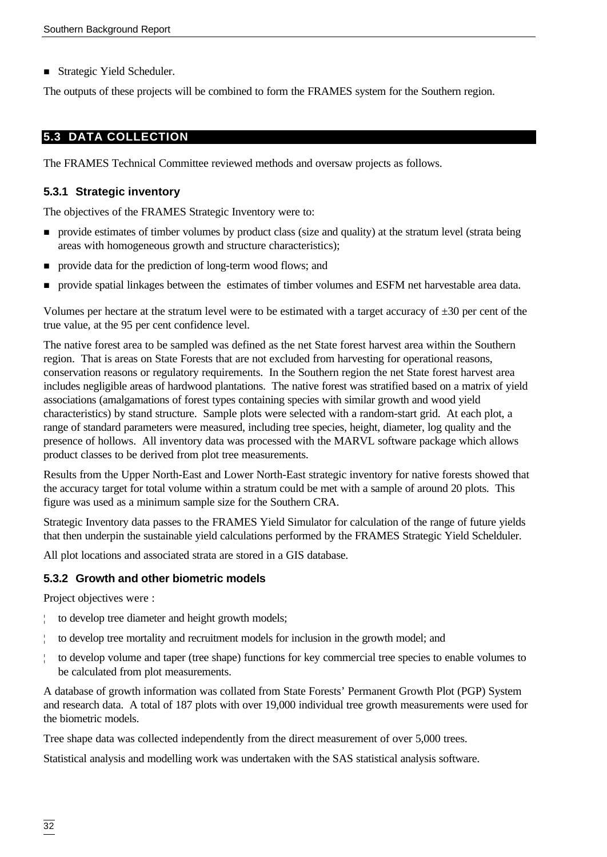■ Strategic Yield Scheduler.

The outputs of these projects will be combined to form the FRAMES system for the Southern region.

### **5.3 DATA COLLECTION**

The FRAMES Technical Committee reviewed methods and oversaw projects as follows.

#### **5.3.1 Strategic inventory**

The objectives of the FRAMES Strategic Inventory were to:

- n provide estimates of timber volumes by product class (size and quality) at the stratum level (strata being areas with homogeneous growth and structure characteristics);
- n provide data for the prediction of long-term wood flows; and
- n provide spatial linkages between the estimates of timber volumes and ESFM net harvestable area data.

Volumes per hectare at the stratum level were to be estimated with a target accuracy of  $\pm 30$  per cent of the true value, at the 95 per cent confidence level.

The native forest area to be sampled was defined as the net State forest harvest area within the Southern region. That is areas on State Forests that are not excluded from harvesting for operational reasons, conservation reasons or regulatory requirements. In the Southern region the net State forest harvest area includes negligible areas of hardwood plantations. The native forest was stratified based on a matrix of yield associations (amalgamations of forest types containing species with similar growth and wood yield characteristics) by stand structure. Sample plots were selected with a random-start grid. At each plot, a range of standard parameters were measured, including tree species, height, diameter, log quality and the presence of hollows. All inventory data was processed with the MARVL software package which allows product classes to be derived from plot tree measurements.

Results from the Upper North-East and Lower North-East strategic inventory for native forests showed that the accuracy target for total volume within a stratum could be met with a sample of around 20 plots. This figure was used as a minimum sample size for the Southern CRA.

Strategic Inventory data passes to the FRAMES Yield Simulator for calculation of the range of future yields that then underpin the sustainable yield calculations performed by the FRAMES Strategic Yield Schelduler.

All plot locations and associated strata are stored in a GIS database.

#### **5.3.2 Growth and other biometric models**

Project objectives were :

- ¦ to develop tree diameter and height growth models;
- ¦ to develop tree mortality and recruitment models for inclusion in the growth model; and
- ¦ to develop volume and taper (tree shape) functions for key commercial tree species to enable volumes to be calculated from plot measurements.

A database of growth information was collated from State Forests' Permanent Growth Plot (PGP) System and research data. A total of 187 plots with over 19,000 individual tree growth measurements were used for the biometric models.

Tree shape data was collected independently from the direct measurement of over 5,000 trees.

Statistical analysis and modelling work was undertaken with the SAS statistical analysis software.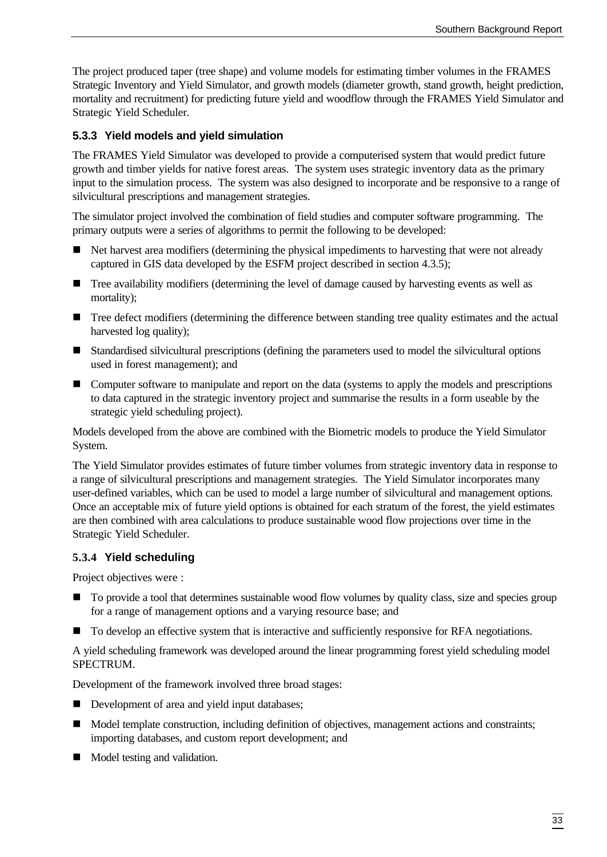The project produced taper (tree shape) and volume models for estimating timber volumes in the FRAMES Strategic Inventory and Yield Simulator, and growth models (diameter growth, stand growth, height prediction, mortality and recruitment) for predicting future yield and woodflow through the FRAMES Yield Simulator and Strategic Yield Scheduler.

#### **5.3.3 Yield models and yield simulation**

The FRAMES Yield Simulator was developed to provide a computerised system that would predict future growth and timber yields for native forest areas. The system uses strategic inventory data as the primary input to the simulation process. The system was also designed to incorporate and be responsive to a range of silvicultural prescriptions and management strategies.

The simulator project involved the combination of field studies and computer software programming. The primary outputs were a series of algorithms to permit the following to be developed:

- n Net harvest area modifiers (determining the physical impediments to harvesting that were not already captured in GIS data developed by the ESFM project described in section 4.3.5);
- Tree availability modifiers (determining the level of damage caused by harvesting events as well as mortality);
- Tree defect modifiers (determining the difference between standing tree quality estimates and the actual harvested log quality);
- Standardised silvicultural prescriptions (defining the parameters used to model the silvicultural options used in forest management); and
- **n** Computer software to manipulate and report on the data (systems to apply the models and prescriptions to data captured in the strategic inventory project and summarise the results in a form useable by the strategic yield scheduling project).

Models developed from the above are combined with the Biometric models to produce the Yield Simulator System.

The Yield Simulator provides estimates of future timber volumes from strategic inventory data in response to a range of silvicultural prescriptions and management strategies. The Yield Simulator incorporates many user-defined variables, which can be used to model a large number of silvicultural and management options. Once an acceptable mix of future yield options is obtained for each stratum of the forest, the yield estimates are then combined with area calculations to produce sustainable wood flow projections over time in the Strategic Yield Scheduler.

#### **5.3.4 Yield scheduling**

Project objectives were :

- $\blacksquare$  To provide a tool that determines sustainable wood flow volumes by quality class, size and species group for a range of management options and a varying resource base; and
- To develop an effective system that is interactive and sufficiently responsive for RFA negotiations.

A yield scheduling framework was developed around the linear programming forest yield scheduling model SPECTRUM.

Development of the framework involved three broad stages:

- Development of area and yield input databases;
- Model template construction, including definition of objectives, management actions and constraints; importing databases, and custom report development; and
- Model testing and validation.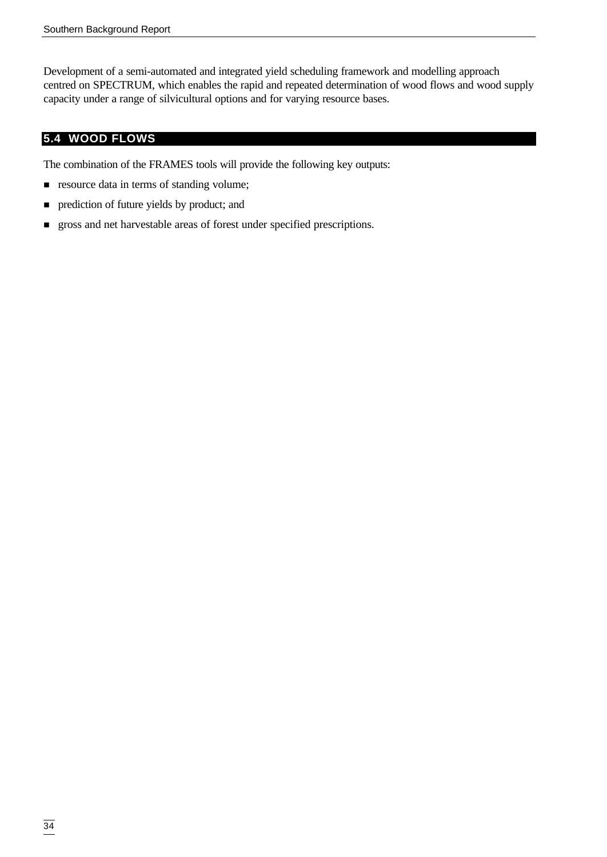Development of a semi-automated and integrated yield scheduling framework and modelling approach centred on SPECTRUM, which enables the rapid and repeated determination of wood flows and wood supply capacity under a range of silvicultural options and for varying resource bases.

# **5.4 WOOD FLOWS**

The combination of the FRAMES tools will provide the following key outputs:

- **n** resource data in terms of standing volume;
- n prediction of future yields by product; and
- n gross and net harvestable areas of forest under specified prescriptions.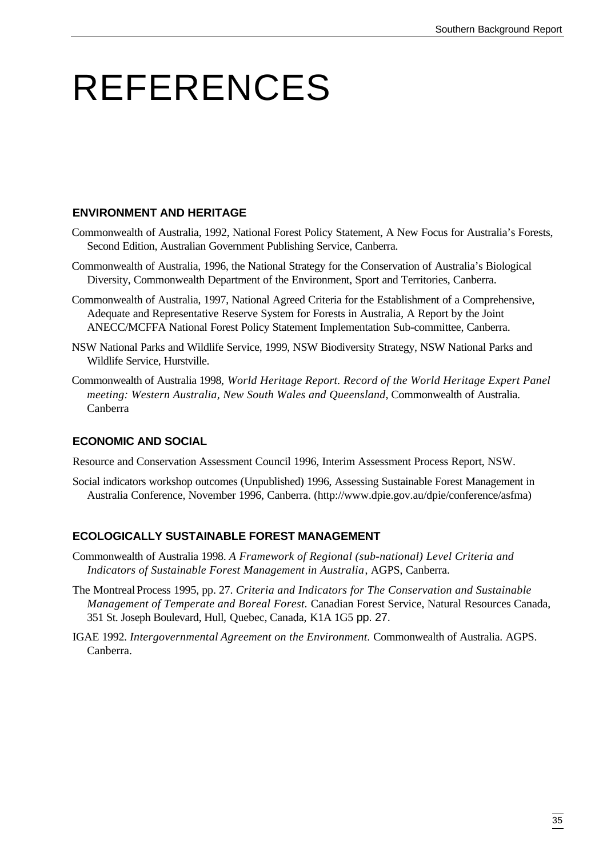# REFERENCES

#### **ENVIRONMENT AND HERITAGE**

- Commonwealth of Australia, 1992, National Forest Policy Statement, A New Focus for Australia's Forests, Second Edition, Australian Government Publishing Service, Canberra.
- Commonwealth of Australia, 1996, the National Strategy for the Conservation of Australia's Biological Diversity, Commonwealth Department of the Environment, Sport and Territories, Canberra.
- Commonwealth of Australia, 1997, National Agreed Criteria for the Establishment of a Comprehensive, Adequate and Representative Reserve System for Forests in Australia, A Report by the Joint ANECC/MCFFA National Forest Policy Statement Implementation Sub-committee, Canberra.
- NSW National Parks and Wildlife Service, 1999, NSW Biodiversity Strategy, NSW National Parks and Wildlife Service, Hurstville.
- Commonwealth of Australia 1998, *World Heritage Report. Record of the World Heritage Expert Panel meeting: Western Australia, New South Wales and Queensland*, Commonwealth of Australia. Canberra

#### **ECONOMIC AND SOCIAL**

Resource and Conservation Assessment Council 1996, Interim Assessment Process Report, NSW.

Social indicators workshop outcomes (Unpublished) 1996, Assessing Sustainable Forest Management in Australia Conference, November 1996, Canberra. (http://www.dpie.gov.au/dpie/conference/asfma)

#### **ECOLOGICALLY SUSTAINABLE FOREST MANAGEMENT**

- Commonwealth of Australia 1998. *A Framework of Regional (sub-national) Level Criteria and Indicators of Sustainable Forest Management in Australia*, AGPS, Canberra.
- The Montreal Process 1995, pp. 27. *Criteria and Indicators for The Conservation and Sustainable Management of Temperate and Boreal Forest.* Canadian Forest Service, Natural Resources Canada, 351 St. Joseph Boulevard, Hull, Quebec, Canada, K1A 1G5 pp. 27.
- IGAE 1992. *Intergovernmental Agreement on the Environment.* Commonwealth of Australia. AGPS. Canberra.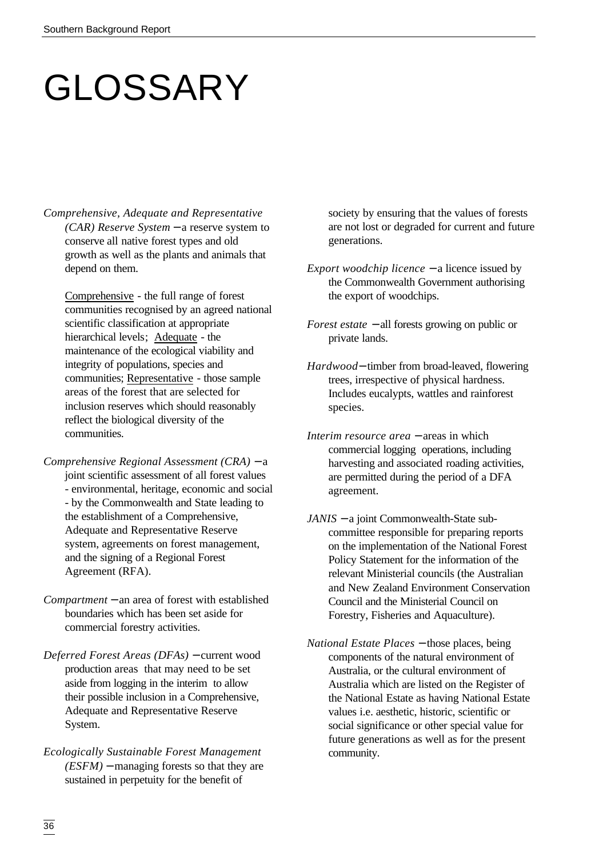# GLOSSARY

*Comprehensive, Adequate and Representative (CAR) Reserve System* − a reserve system to conserve all native forest types and old growth as well as the plants and animals that depend on them.

Comprehensive - the full range of forest communities recognised by an agreed national scientific classification at appropriate hierarchical levels; Adequate - the maintenance of the ecological viability and integrity of populations, species and communities; Representative - those sample areas of the forest that are selected for inclusion reserves which should reasonably reflect the biological diversity of the communities.

- *Comprehensive Regional Assessment (CRA)* − a joint scientific assessment of all forest values - environmental, heritage, economic and social - by the Commonwealth and State leading to the establishment of a Comprehensive, Adequate and Representative Reserve system, agreements on forest management, and the signing of a Regional Forest Agreement (RFA).
- *Compartment* − an area of forest with established boundaries which has been set aside for commercial forestry activities.
- *Deferred Forest Areas (DFAs)* − current wood production areas that may need to be set aside from logging in the interim to allow their possible inclusion in a Comprehensive, Adequate and Representative Reserve System.
- *Ecologically Sustainable Forest Management (ESFM)* − managing forests so that they are sustained in perpetuity for the benefit of

society by ensuring that the values of forests are not lost or degraded for current and future generations.

- *Export woodchip licence* − a licence issued by the Commonwealth Government authorising the export of woodchips.
- *Forest estate* − all forests growing on public or private lands.
- *Hardwood*− timber from broad-leaved, flowering trees, irrespective of physical hardness. Includes eucalypts, wattles and rainforest species.
- *Interim resource area* − areas in which commercial logging operations, including harvesting and associated roading activities, are permitted during the period of a DFA agreement.
- *JANIS* − a joint Commonwealth-State subcommittee responsible for preparing reports on the implementation of the National Forest Policy Statement for the information of the relevant Ministerial councils (the Australian and New Zealand Environment Conservation Council and the Ministerial Council on Forestry, Fisheries and Aquaculture).
- *National Estate Places* − those places, being components of the natural environment of Australia, or the cultural environment of Australia which are listed on the Register of the National Estate as having National Estate values i.e. aesthetic, historic, scientific or social significance or other special value for future generations as well as for the present community.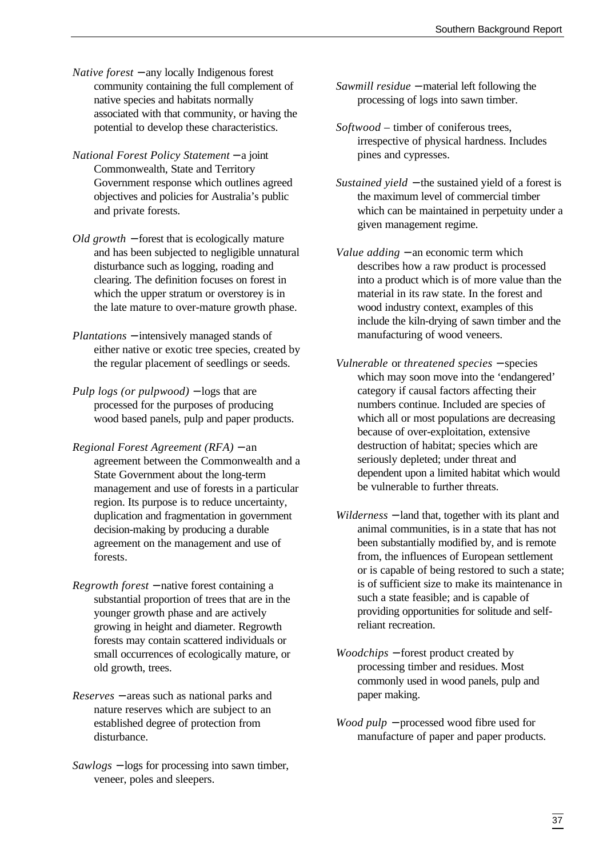- *Native forest* − any locally Indigenous forest community containing the full complement of native species and habitats normally associated with that community, or having the potential to develop these characteristics.
- *National Forest Policy Statement* − a joint Commonwealth, State and Territory Government response which outlines agreed objectives and policies for Australia's public and private forests.
- *Old growth* − forest that is ecologically mature and has been subjected to negligible unnatural disturbance such as logging, roading and clearing. The definition focuses on forest in which the upper stratum or overstorey is in the late mature to over-mature growth phase.
- *Plantations* − intensively managed stands of either native or exotic tree species, created by the regular placement of seedlings or seeds.
- *Pulp logs (or pulpwood)* − logs that are processed for the purposes of producing wood based panels, pulp and paper products.
- *Regional Forest Agreement (RFA)* − an agreement between the Commonwealth and a State Government about the long-term management and use of forests in a particular region. Its purpose is to reduce uncertainty, duplication and fragmentation in government decision-making by producing a durable agreement on the management and use of forests.
- *Regrowth forest* − native forest containing a substantial proportion of trees that are in the younger growth phase and are actively growing in height and diameter. Regrowth forests may contain scattered individuals or small occurrences of ecologically mature, or old growth, trees.
- *Reserves* − areas such as national parks and nature reserves which are subject to an established degree of protection from disturbance.
- *Sawlogs* − logs for processing into sawn timber, veneer, poles and sleepers.
- *Sawmill residue* − material left following the processing of logs into sawn timber.
- *Softwood*  timber of coniferous trees, irrespective of physical hardness. Includes pines and cypresses.
- *Sustained yield* − the sustained yield of a forest is the maximum level of commercial timber which can be maintained in perpetuity under a given management regime.
- *Value adding* − an economic term which describes how a raw product is processed into a product which is of more value than the material in its raw state. In the forest and wood industry context, examples of this include the kiln-drying of sawn timber and the manufacturing of wood veneers.
- *Vulnerable* or *threatened species* − species which may soon move into the 'endangered' category if causal factors affecting their numbers continue. Included are species of which all or most populations are decreasing because of over-exploitation, extensive destruction of habitat; species which are seriously depleted; under threat and dependent upon a limited habitat which would be vulnerable to further threats.
- *Wilderness* − land that, together with its plant and animal communities, is in a state that has not been substantially modified by, and is remote from, the influences of European settlement or is capable of being restored to such a state; is of sufficient size to make its maintenance in such a state feasible; and is capable of providing opportunities for solitude and selfreliant recreation.
- *Woodchips* − forest product created by processing timber and residues. Most commonly used in wood panels, pulp and paper making.
- *Wood pulp* − processed wood fibre used for manufacture of paper and paper products.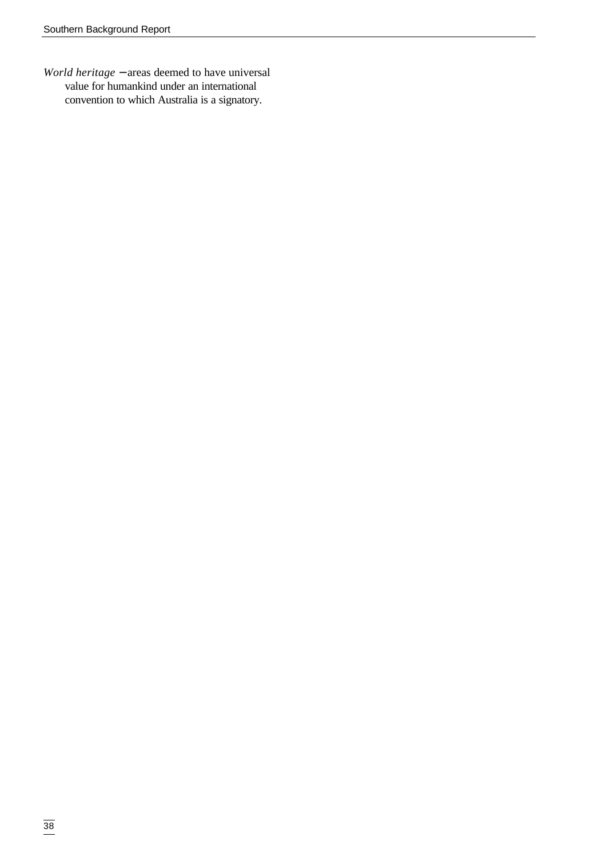*World heritage* − areas deemed to have universal value for humankind under an international convention to which Australia is a signatory.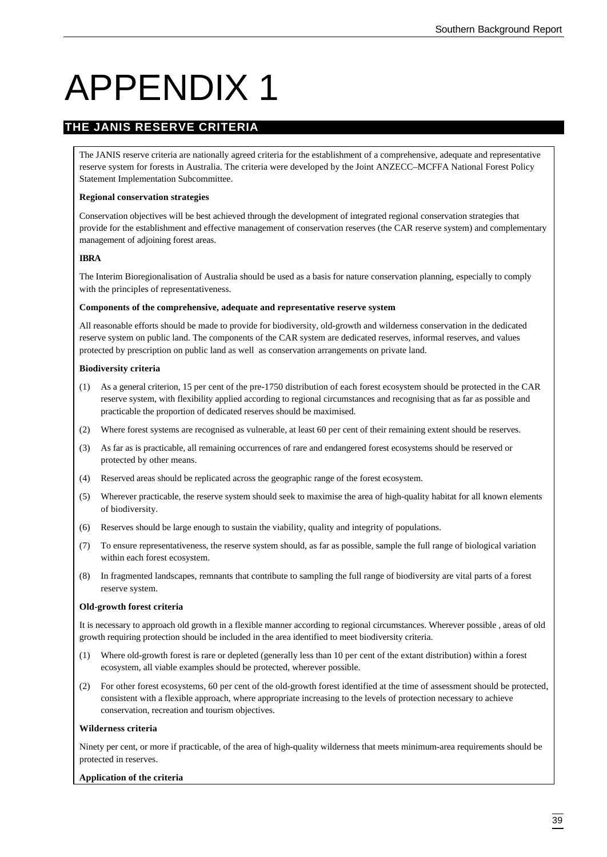# APPENDIX 1

# **THE JANIS RESERVE CRITERIA**

The JANIS reserve criteria are nationally agreed criteria for the establishment of a comprehensive, adequate and representative reserve system for forests in Australia. The criteria were developed by the Joint ANZECC–MCFFA National Forest Policy Statement Implementation Subcommittee.

#### **Regional conservation strategies**

Conservation objectives will be best achieved through the development of integrated regional conservation strategies that provide for the establishment and effective management of conservation reserves (the CAR reserve system) and complementary management of adjoining forest areas.

#### **IBRA**

The Interim Bioregionalisation of Australia should be used as a basis for nature conservation planning, especially to comply with the principles of representativeness.

#### **Components of the comprehensive, adequate and representative reserve system**

All reasonable efforts should be made to provide for biodiversity, old-growth and wilderness conservation in the dedicated reserve system on public land. The components of the CAR system are dedicated reserves, informal reserves, and values protected by prescription on public land as well as conservation arrangements on private land.

#### **Biodiversity criteria**

- (1) As a general criterion, 15 per cent of the pre-1750 distribution of each forest ecosystem should be protected in the CAR reserve system, with flexibility applied according to regional circumstances and recognising that as far as possible and practicable the proportion of dedicated reserves should be maximised.
- (2) Where forest systems are recognised as vulnerable, at least 60 per cent of their remaining extent should be reserves.
- (3) As far as is practicable, all remaining occurrences of rare and endangered forest ecosystems should be reserved or protected by other means.
- (4) Reserved areas should be replicated across the geographic range of the forest ecosystem.
- (5) Wherever practicable, the reserve system should seek to maximise the area of high-quality habitat for all known elements of biodiversity.
- (6) Reserves should be large enough to sustain the viability, quality and integrity of populations.
- (7) To ensure representativeness, the reserve system should, as far as possible, sample the full range of biological variation within each forest ecosystem.
- (8) In fragmented landscapes, remnants that contribute to sampling the full range of biodiversity are vital parts of a forest reserve system.

#### **Old-growth forest criteria**

It is necessary to approach old growth in a flexible manner according to regional circumstances. Wherever possible , areas of old growth requiring protection should be included in the area identified to meet biodiversity criteria.

- (1) Where old-growth forest is rare or depleted (generally less than 10 per cent of the extant distribution) within a forest ecosystem, all viable examples should be protected, wherever possible.
- (2) For other forest ecosystems, 60 per cent of the old-growth forest identified at the time of assessment should be protected, consistent with a flexible approach, where appropriate increasing to the levels of protection necessary to achieve conservation, recreation and tourism objectives.

#### **Wilderness criteria**

Ninety per cent, or more if practicable, of the area of high-quality wilderness that meets minimum-area requirements should be protected in reserves.

#### **Application of the criteria**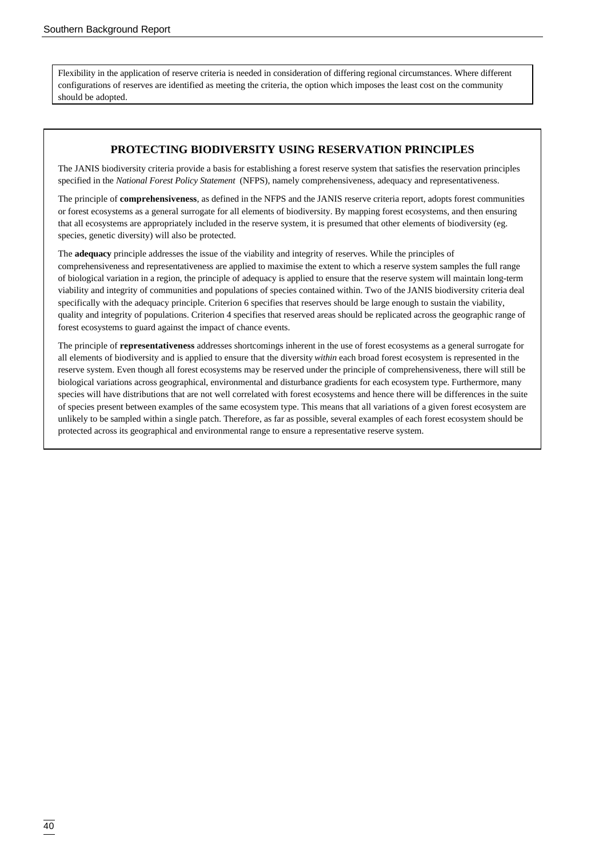Flexibility in the application of reserve criteria is needed in consideration of differing regional circumstances. Where different configurations of reserves are identified as meeting the criteria, the option which imposes the least cost on the community should be adopted.

#### **PROTECTING BIODIVERSITY USING RESERVATION PRINCIPLES**

The JANIS biodiversity criteria provide a basis for establishing a forest reserve system that satisfies the reservation principles specified in the *National Forest Policy Statement* (NFPS), namely comprehensiveness, adequacy and representativeness.

The principle of **comprehensiveness**, as defined in the NFPS and the JANIS reserve criteria report, adopts forest communities or forest ecosystems as a general surrogate for all elements of biodiversity. By mapping forest ecosystems, and then ensuring that all ecosystems are appropriately included in the reserve system, it is presumed that other elements of biodiversity (eg. species, genetic diversity) will also be protected.

The **adequacy** principle addresses the issue of the viability and integrity of reserves. While the principles of comprehensiveness and representativeness are applied to maximise the extent to which a reserve system samples the full range of biological variation in a region, the principle of adequacy is applied to ensure that the reserve system will maintain long-term viability and integrity of communities and populations of species contained within. Two of the JANIS biodiversity criteria deal specifically with the adequacy principle. Criterion 6 specifies that reserves should be large enough to sustain the viability, quality and integrity of populations. Criterion 4 specifies that reserved areas should be replicated across the geographic range of forest ecosystems to guard against the impact of chance events.

The principle of **representativeness** addresses shortcomings inherent in the use of forest ecosystems as a general surrogate for all elements of biodiversity and is applied to ensure that the diversity *within* each broad forest ecosystem is represented in the reserve system. Even though all forest ecosystems may be reserved under the principle of comprehensiveness, there will still be biological variations across geographical, environmental and disturbance gradients for each ecosystem type. Furthermore, many species will have distributions that are not well correlated with forest ecosystems and hence there will be differences in the suite of species present between examples of the same ecosystem type. This means that all variations of a given forest ecosystem are unlikely to be sampled within a single patch. Therefore, as far as possible, several examples of each forest ecosystem should be protected across its geographical and environmental range to ensure a representative reserve system.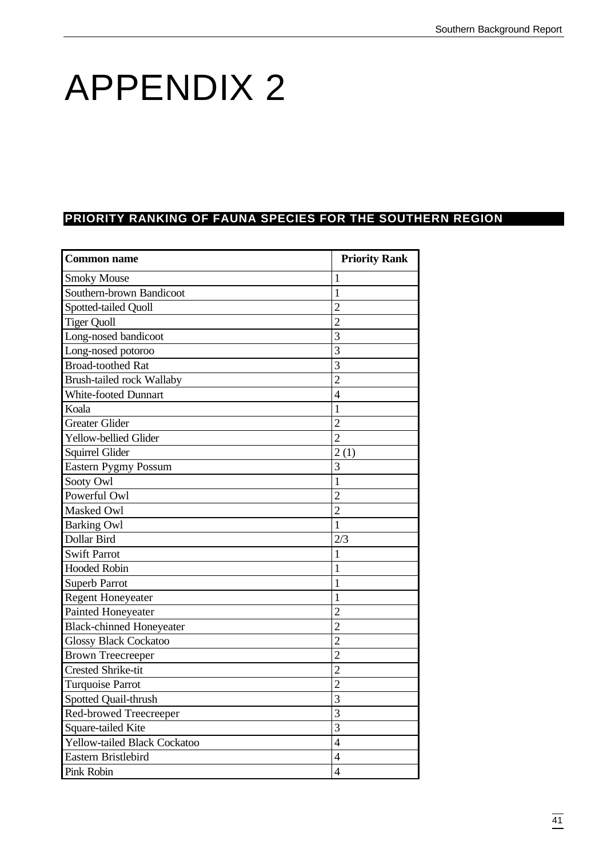# APPENDIX 2

# **PRIORITY RANKING OF FAUNA SPECIES FOR THE SOUTHERN REGION**

| <b>Common name</b>               | <b>Priority Rank</b> |
|----------------------------------|----------------------|
| <b>Smoky Mouse</b>               | 1                    |
| Southern-brown Bandicoot         | 1                    |
| Spotted-tailed Quoll             | $\overline{2}$       |
| <b>Tiger Quoll</b>               | $\overline{2}$       |
| Long-nosed bandicoot             | 3                    |
| Long-nosed potoroo               | 3                    |
| <b>Broad-toothed Rat</b>         | 3                    |
| <b>Brush-tailed rock Wallaby</b> | $\overline{2}$       |
| <b>White-footed Dunnart</b>      | $\overline{4}$       |
| Koala                            | $\mathbf{1}$         |
| <b>Greater Glider</b>            | $\overline{2}$       |
| Yellow-bellied Glider            | $\overline{2}$       |
| Squirrel Glider                  | 2(1)                 |
| <b>Eastern Pygmy Possum</b>      | 3                    |
| Sooty Owl                        | $\mathbf{1}$         |
| Powerful Owl                     | $\overline{2}$       |
| Masked Owl                       | $\overline{2}$       |
| <b>Barking Owl</b>               | $\mathbf{1}$         |
| Dollar Bird                      | 2/3                  |
| <b>Swift Parrot</b>              | 1                    |
| <b>Hooded Robin</b>              | 1                    |
| <b>Superb Parrot</b>             | 1                    |
| <b>Regent Honeyeater</b>         | $\mathbf{1}$         |
| Painted Honeyeater               | $\overline{2}$       |
| <b>Black-chinned Honeyeater</b>  | $\overline{2}$       |
| <b>Glossy Black Cockatoo</b>     | $\overline{2}$       |
| <b>Brown Treecreeper</b>         | $\overline{2}$       |
| <b>Crested Shrike-tit</b>        | $\overline{2}$       |
| <b>Turquoise Parrot</b>          | $\overline{2}$       |
| Spotted Quail-thrush             | 3                    |
| Red-browed Treecreeper           | 3                    |
| Square-tailed Kite               | 3                    |
| Yellow-tailed Black Cockatoo     | $\overline{4}$       |
| Eastern Bristlebird              | $\overline{4}$       |
| Pink Robin                       | $\overline{4}$       |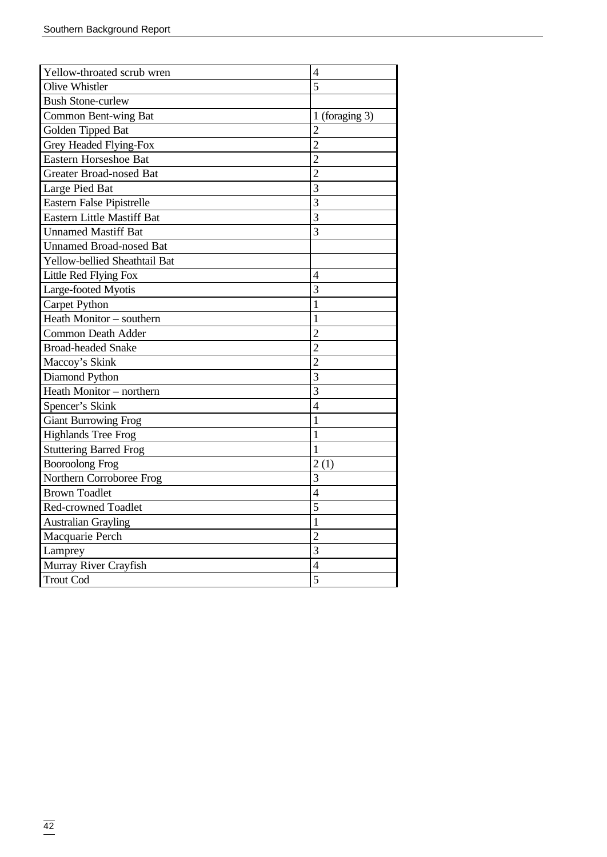| Yellow-throated scrub wren           | 4                        |
|--------------------------------------|--------------------------|
| <b>Olive Whistler</b>                | $\overline{5}$           |
| <b>Bush Stone-curlew</b>             |                          |
| <b>Common Bent-wing Bat</b>          | 1 (foraging $3$ )        |
| Golden Tipped Bat                    | $\overline{2}$           |
| Grey Headed Flying-Fox               | $\overline{2}$           |
| <b>Eastern Horseshoe Bat</b>         | $\overline{2}$           |
| <b>Greater Broad-nosed Bat</b>       | $\overline{2}$           |
| Large Pied Bat                       | 3                        |
| Eastern False Pipistrelle            | 3                        |
| <b>Eastern Little Mastiff Bat</b>    | $\overline{3}$           |
| <b>Unnamed Mastiff Bat</b>           | 3                        |
| <b>Unnamed Broad-nosed Bat</b>       |                          |
| <b>Yellow-bellied Sheathtail Bat</b> |                          |
| Little Red Flying Fox                | $\overline{\mathcal{A}}$ |
| Large-footed Myotis                  | 3                        |
| Carpet Python                        | $\mathbf{1}$             |
| Heath Monitor - southern             | 1                        |
| <b>Common Death Adder</b>            | $\overline{2}$           |
| <b>Broad-headed Snake</b>            | $\overline{2}$           |
| Maccoy's Skink                       | $\overline{2}$           |
| Diamond Python                       | $\overline{3}$           |
| Heath Monitor - northern             | $\overline{3}$           |
| Spencer's Skink                      | $\overline{4}$           |
| <b>Giant Burrowing Frog</b>          | 1                        |
| <b>Highlands Tree Frog</b>           | $\mathbf{1}$             |
| <b>Stuttering Barred Frog</b>        | 1                        |
| <b>Booroolong Frog</b>               | 2(1)                     |
| Northern Corroboree Frog             | 3                        |
| <b>Brown Toadlet</b>                 | $\overline{4}$           |
| <b>Red-crowned Toadlet</b>           | $\overline{5}$           |
| <b>Australian Grayling</b>           | $\mathbf{1}$             |
| Macquarie Perch                      | $\overline{2}$           |
| Lamprey                              | 3                        |
| Murray River Crayfish                | $\overline{4}$           |
| <b>Trout Cod</b>                     | 5                        |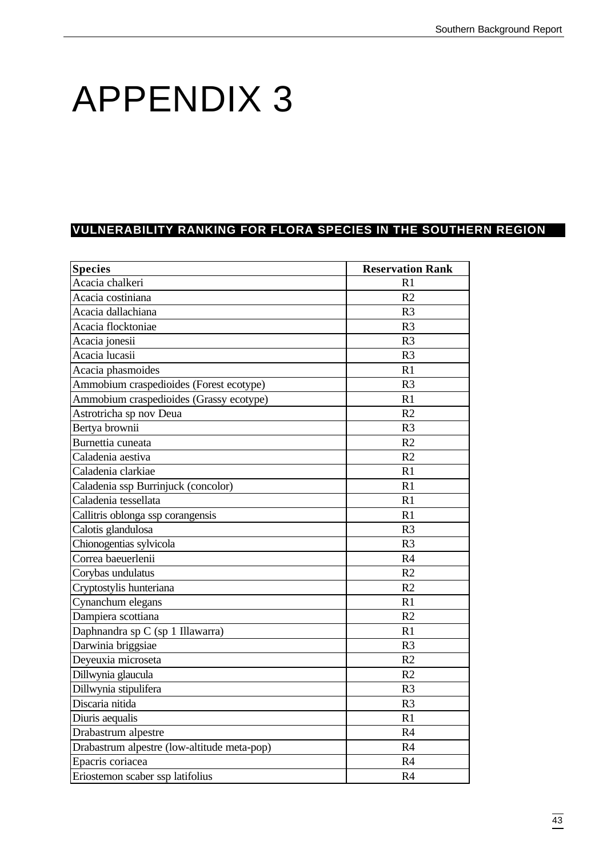# APPENDIX 3

# **VULNERABILITY RANKING FOR FLORA SPECIES IN THE SOUTHERN REGION**

| <b>Species</b>                              | <b>Reservation Rank</b> |
|---------------------------------------------|-------------------------|
| Acacia chalkeri                             | R1                      |
| Acacia costiniana                           | R <sub>2</sub>          |
| Acacia dallachiana                          | R <sub>3</sub>          |
| Acacia flocktoniae                          | R <sub>3</sub>          |
| Acacia jonesii                              | R <sub>3</sub>          |
| Acacia lucasii                              | R <sub>3</sub>          |
| Acacia phasmoides                           | R1                      |
| Ammobium craspedioides (Forest ecotype)     | R <sub>3</sub>          |
| Ammobium craspedioides (Grassy ecotype)     | R1                      |
| Astrotricha sp nov Deua                     | R2                      |
| Bertya brownii                              | R <sub>3</sub>          |
| Burnettia cuneata                           | R2                      |
| Caladenia aestiva                           | R2                      |
| Caladenia clarkiae                          | R1                      |
| Caladenia ssp Burrinjuck (concolor)         | R1                      |
| Caladenia tessellata                        | R1                      |
| Callitris oblonga ssp corangensis           | R1                      |
| Calotis glandulosa                          | R <sub>3</sub>          |
| Chionogentias sylvicola                     | R <sub>3</sub>          |
| Correa baeuerlenii                          | R4                      |
| Corybas undulatus                           | R2                      |
| Cryptostylis hunteriana                     | R <sub>2</sub>          |
| Cynanchum elegans                           | R1                      |
| Dampiera scottiana                          | R <sub>2</sub>          |
| Daphnandra sp C (sp 1 Illawarra)            | R1                      |
| Darwinia briggsiae                          | R <sub>3</sub>          |
| Deyeuxia microseta                          | R2                      |
| Dillwynia glaucula                          | R2                      |
| Dillwynia stipulifera                       | R <sub>3</sub>          |
| Discaria nitida                             | R <sub>3</sub>          |
| Diuris aequalis                             | R1                      |
| Drabastrum alpestre                         | R4                      |
| Drabastrum alpestre (low-altitude meta-pop) | R <sub>4</sub>          |
| Epacris coriacea                            | R4                      |
| Eriostemon scaber ssp latifolius            | R4                      |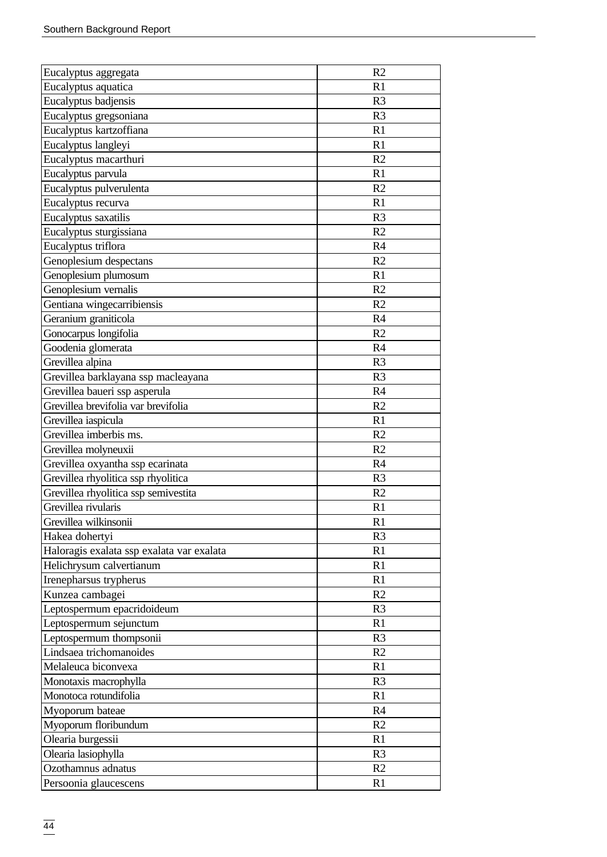| Eucalyptus aggregata                      | R <sub>2</sub> |
|-------------------------------------------|----------------|
| Eucalyptus aquatica                       | R <sub>1</sub> |
| Eucalyptus badjensis                      | R <sub>3</sub> |
| Eucalyptus gregsoniana                    | R <sub>3</sub> |
| Eucalyptus kartzoffiana                   | R <sub>1</sub> |
| Eucalyptus langleyi                       | R1             |
| Eucalyptus macarthuri                     | R <sub>2</sub> |
| Eucalyptus parvula                        | R1             |
| Eucalyptus pulverulenta                   | R <sub>2</sub> |
| Eucalyptus recurva                        | R <sub>1</sub> |
| Eucalyptus saxatilis                      | R <sub>3</sub> |
| Eucalyptus sturgissiana                   | R <sub>2</sub> |
| Eucalyptus triflora                       | R <sub>4</sub> |
| Genoplesium despectans                    | R <sub>2</sub> |
| Genoplesium plumosum                      | R1             |
| Genoplesium vernalis                      | R <sub>2</sub> |
| Gentiana wingecarribiensis                | R <sub>2</sub> |
| Geranium graniticola                      | R <sub>4</sub> |
| Gonocarpus longifolia                     | R2             |
| Goodenia glomerata                        | R4             |
| Grevillea alpina                          | R <sub>3</sub> |
| Grevillea barklayana ssp macleayana       | R <sub>3</sub> |
| Grevillea baueri ssp asperula             | R4             |
| Grevillea brevifolia var brevifolia       | R <sub>2</sub> |
| Grevillea iaspicula                       | R1             |
| Grevillea imberbis ms.                    | R <sub>2</sub> |
| Grevillea molyneuxii                      | R2             |
| Grevillea oxyantha ssp ecarinata          | R <sub>4</sub> |
| Grevillea rhyolitica ssp rhyolitica       | R <sub>3</sub> |
| Grevillea rhyolitica ssp semivestita      | R <sub>2</sub> |
| Grevillea rivularis                       | R1             |
| Grevillea wilkinsonii                     | R1             |
| Hakea dohertyi                            | R <sub>3</sub> |
| Haloragis exalata ssp exalata var exalata | R1             |
| Helichrysum calvertianum                  | R1             |
| Irenepharsus trypherus                    | R1             |
| Kunzea cambagei                           | R <sub>2</sub> |
| Leptospermum epacridoideum                | R <sub>3</sub> |
| Leptospermum sejunctum                    | R1             |
| Leptospermum thompsonii                   | R <sub>3</sub> |
| Lindsaea trichomanoides                   | R2             |
| Melaleuca biconvexa                       | R <sub>1</sub> |
| Monotaxis macrophylla                     | R <sub>3</sub> |
| Monotoca rotundifolia                     | R1             |
| Myoporum bateae                           | R <sub>4</sub> |
| Myoporum floribundum                      | R2             |
| Olearia burgessii                         | R1             |
| Olearia lasiophylla                       | R <sub>3</sub> |
| Ozothamnus adnatus                        | R <sub>2</sub> |
| Persoonia glaucescens                     | R1             |
|                                           |                |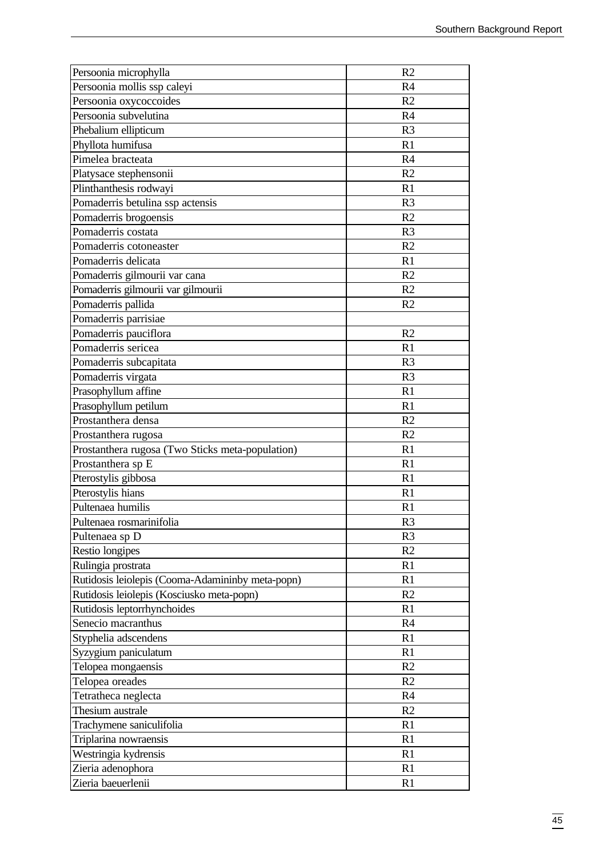| Persoonia microphylla                            | R2             |
|--------------------------------------------------|----------------|
| Persoonia mollis ssp caleyi                      | R <sub>4</sub> |
| Persoonia oxycoccoides                           | R <sub>2</sub> |
| Persoonia subvelutina                            | R4             |
| Phebalium ellipticum                             | R <sub>3</sub> |
| Phyllota humifusa                                | R1             |
| Pimelea bracteata                                | R <sub>4</sub> |
| Platysace stephensonii                           | R <sub>2</sub> |
| Plinthanthesis rodwayi                           | R1             |
| Pomaderris betulina ssp actensis                 | R <sub>3</sub> |
| Pomaderris brogoensis                            | R <sub>2</sub> |
| Pomaderris costata                               | R <sub>3</sub> |
| Pomaderris cotoneaster                           | R <sub>2</sub> |
| Pomaderris delicata                              | R1             |
| Pomaderris gilmourii var cana                    | R <sub>2</sub> |
| Pomaderris gilmourii var gilmourii               | R <sub>2</sub> |
| Pomaderris pallida                               | R <sub>2</sub> |
| Pomaderris parrisiae                             |                |
| Pomaderris pauciflora                            | R <sub>2</sub> |
| Pomaderris sericea                               | R1             |
| Pomaderris subcapitata                           | R <sub>3</sub> |
| Pomaderris virgata                               | R <sub>3</sub> |
| Prasophyllum affine                              | R1             |
| Prasophyllum petilum                             | R1             |
| Prostanthera densa                               | R <sub>2</sub> |
| Prostanthera rugosa                              | R <sub>2</sub> |
| Prostanthera rugosa (Two Sticks meta-population) | R1             |
| Prostanthera sp E                                | R1             |
| Pterostylis gibbosa                              | R1             |
| Pterostylis hians                                | R1             |
| Pultenaea humilis                                | R1             |
| Pultenaea rosmarinifolia                         | R <sub>3</sub> |
| Pultenaea sp D                                   | R <sub>3</sub> |
| Restio longipes                                  | R <sub>2</sub> |
| Rulingia prostrata                               | R1             |
| Rutidosis leiolepis (Cooma-Adamininby meta-popn) | R1             |
| Rutidosis leiolepis (Kosciusko meta-popn)        | R <sub>2</sub> |
| Rutidosis leptorrhynchoides                      | R1             |
| Senecio macranthus                               | R <sub>4</sub> |
| Styphelia adscendens                             | R1             |
| Syzygium paniculatum                             | R1             |
| Telopea mongaensis                               | R <sub>2</sub> |
| Telopea oreades                                  | R <sub>2</sub> |
| Tetratheca neglecta                              | R4             |
| Thesium australe                                 | R <sub>2</sub> |
| Trachymene saniculifolia                         | R1             |
| Triplarina nowraensis                            | R1             |
| Westringia kydrensis                             | R1             |
| Zieria adenophora                                | R1             |
| Zieria baeuerlenii                               | R <sub>1</sub> |